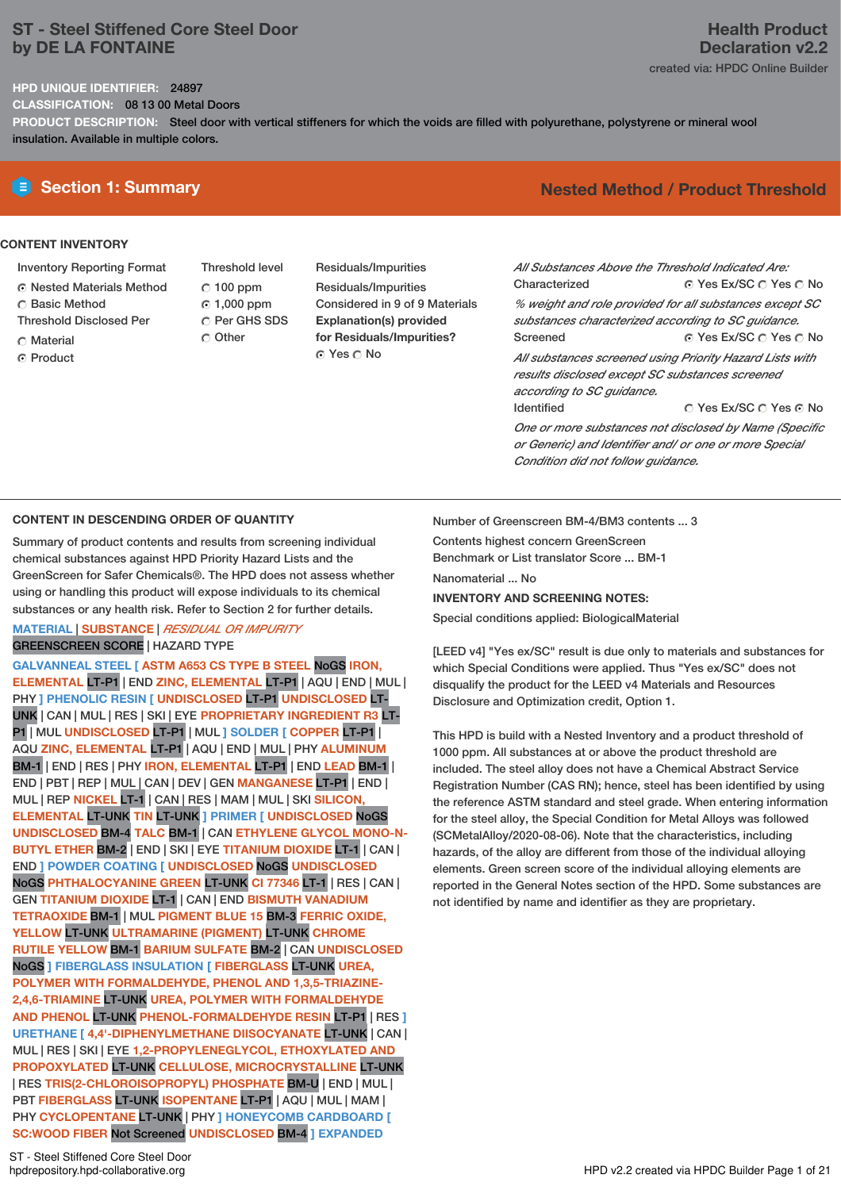# **ST - Steel Stiffened Core Steel Door by DE LA FONTAINE**

#### **HPD UNIQUE IDENTIFIER:** 24897

**CLASSIFICATION:** 08 13 00 Metal Doors

**PRODUCT DESCRIPTION:** Steel door with vertical stiffeners for which the voids are filled with polyurethane, polystyrene or mineral wool insulation. Available in multiple colors.

### **CONTENT INVENTORY**

- Inventory Reporting Format Nested Materials Method
- Basic Method
- Threshold Disclosed Per
- Material
- ⊙ Product

Threshold level  $C$  100 ppm 1,000 ppm C Per GHS SDS

 $\cap$  Other

Residuals/Impurities Residuals/Impurities Considered in 9 of 9 Materials **Explanation(s) provided for Residuals/Impurities?** © Yes ∩ No

# **Section 1: Summary Nested Method / Product Threshold**

⊙ Yes Ex/SC  $\cap$  Yes  $\cap$  No ⊙ Yes Ex/SC  $\bigcirc$  Yes  $\bigcirc$  No © Yes Ex/SC © Yes ⊙ No *All Substances Above the Threshold Indicated Are:* Characterized *% weight and role provided for all substances except SC substances characterized according to SC guidance.* Screened *All substances screened using Priority Hazard Lists with results disclosed except SC substances screened according to SC guidance.* Identified

*One or more substances not disclosed by Name (Specific or Generic) and Identifier and/ or one or more Special Condition did not follow guidance.*

# **CONTENT IN DESCENDING ORDER OF QUANTITY**

Summary of product contents and results from screening individual chemical substances against HPD Priority Hazard Lists and the GreenScreen for Safer Chemicals®. The HPD does not assess whether using or handling this product will expose individuals to its chemical substances or any health risk. Refer to Section 2 for further details.

### **MATERIAL** | **SUBSTANCE** | *RESIDUAL OR IMPURITY* GREENSCREEN SCORE | HAZARD TYPE

```
GALVANNEAL STEEL [ ASTM A653 CS TYPE B STEEL NoGS IRON,
ELEMENTAL LT-P1 | END ZINC, ELEMENTAL LT-P1 | AQU | END | MUL |
PHY ] PHENOLIC RESIN [ UNDISCLOSED LT-P1 UNDISCLOSED LT-
UNK | CAN | MUL | RES | SKI | EYE PROPRIETARY INGREDIENT R3 LT-
P1 | MUL UNDISCLOSED LT-P1 | MUL ] SOLDER [ COPPER LT-P1 |
AQU ZINC, ELEMENTAL LT-P1 | AQU | END | MUL | PHY ALUMINUM
BM-1 | END | RES | PHY IRON, ELEMENTAL LT-P1 | END LEAD BM-1 |
END | PBT | REP | MUL | CAN | DEV | GEN MANGANESE LT-P1 | END |
MUL | REP NICKEL LT-1 | CAN | RES | MAM | MUL | SKI SILICON,
ELEMENTAL LT-UNK TIN LT-UNK ] PRIMER [ UNDISCLOSED NoGS
UNDISCLOSED BM-4 TALC BM-1 | CAN ETHYLENE GLYCOL MONO-N-
BUTYL ETHER BM-2 | END | SKI | EYE TITANIUM DIOXIDE LT-1 | CAN |
END ] POWDER COATING [ UNDISCLOSED NoGS UNDISCLOSED
NoGS PHTHALOCYANINE GREEN LT-UNK CI 77346 LT-1 | RES | CAN |
GEN TITANIUM DIOXIDE LT-1 | CAN | END BISMUTH VANADIUM
TETRAOXIDE BM-1 | MUL PIGMENT BLUE 15 BM-3 FERRIC OXIDE,
YELLOW LT-UNK ULTRAMARINE (PIGMENT) LT-UNK CHROME
RUTILE YELLOW BM-1 BARIUM SULFATE BM-2 | CAN UNDISCLOSED
NoGS ] FIBERGLASS INSULATION [ FIBERGLASS LT-UNK UREA,
POLYMER WITH FORMALDEHYDE, PHENOL AND 1,3,5-TRIAZINE-
2,4,6-TRIAMINE LT-UNK UREA, POLYMER WITH FORMALDEHYDE
AND PHENOL LT-UNK PHENOL-FORMALDEHYDE RESIN LT-P1 | RES ]
URETHANE [ 4,4'-DIPHENYLMETHANE DIISOCYANATE LT-UNK | CAN |
MUL | RES | SKI | EYE 1,2-PROPYLENEGLYCOL, ETHOXYLATED AND
PROPOXYLATED LT-UNK CELLULOSE, MICROCRYSTALLINE LT-UNK
| RES TRIS(2-CHLOROISOPROPYL) PHOSPHATE BM-U | END | MUL |
PBT FIBERGLASS LT-UNK ISOPENTANE LT-P1 | AQU | MUL | MAM |
PHY CYCLOPENTANE LT-UNK | PHY ] HONEYCOMB CARDBOARD [
SC:WOOD FIBER Not Screened UNDISCLOSED BM-4 ] EXPANDED
```
Number of Greenscreen BM-4/BM3 contents ... 3

Contents highest concern GreenScreen Benchmark or List translator Score ... BM-1 Nanomaterial ... No **INVENTORY AND SCREENING NOTES:**

Special conditions applied: BiologicalMaterial

[LEED v4] "Yes ex/SC" result is due only to materials and substances for which Special Conditions were applied. Thus "Yes ex/SC" does not disqualify the product for the LEED v4 Materials and Resources Disclosure and Optimization credit, Option 1.

This HPD is build with a Nested Inventory and a product threshold of 1000 ppm. All substances at or above the product threshold are included. The steel alloy does not have a Chemical Abstract Service Registration Number (CAS RN); hence, steel has been identified by using the reference ASTM standard and steel grade. When entering information for the steel alloy, the Special Condition for Metal Alloys was followed (SCMetalAlloy/2020-08-06). Note that the characteristics, including hazards, of the alloy are different from those of the individual alloying elements. Green screen score of the individual alloying elements are reported in the General Notes section of the HPD. Some substances are not identified by name and identifier as they are proprietary.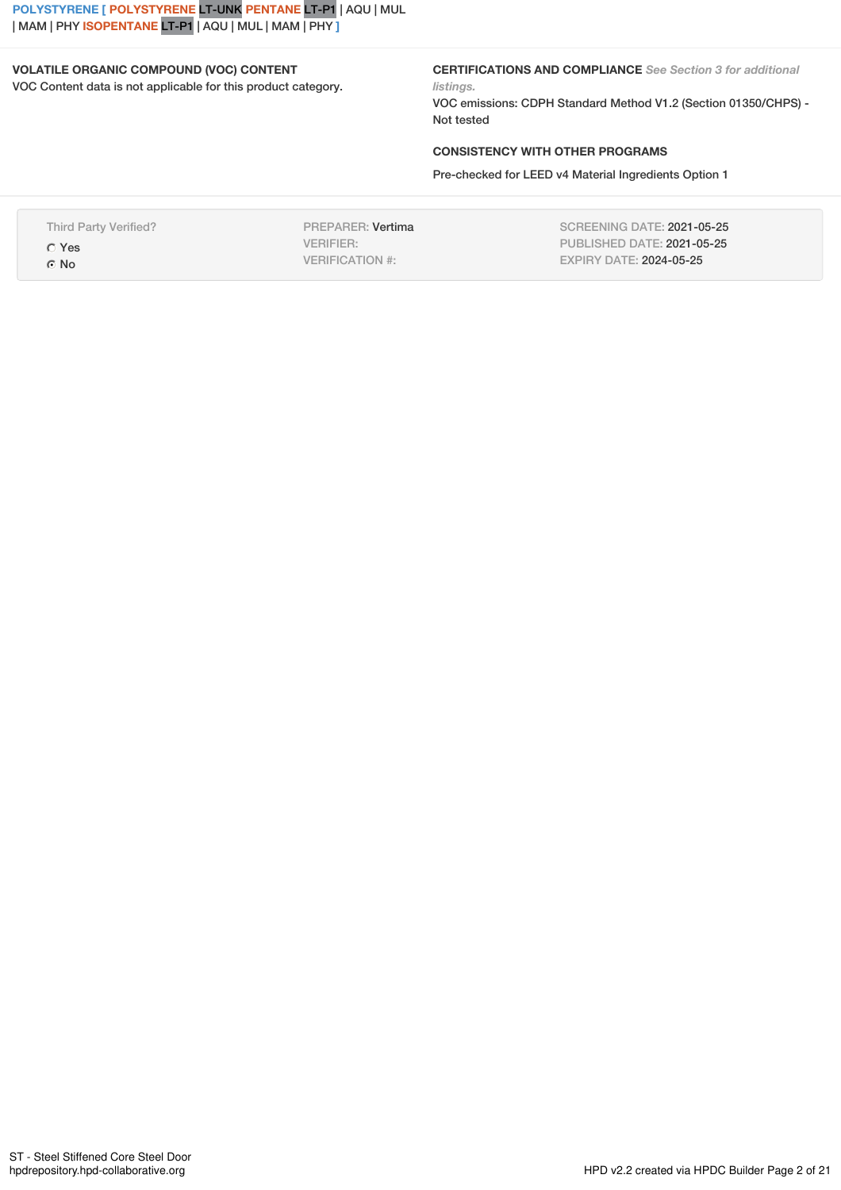**POLYSTYRENE [ POLYSTYRENE** LT-UNK **PENTANE** LT-P1 | AQU | MUL | MAM | PHY **ISOPENTANE** LT-P1 | AQU | MUL | MAM | PHY **]**

# **VOLATILE ORGANIC COMPOUND (VOC) CONTENT**

VOC Content data is not applicable for this product category.

**CERTIFICATIONS AND COMPLIANCE** *See Section 3 for additional listings.*

VOC emissions: CDPH Standard Method V1.2 (Section 01350/CHPS) - Not tested

# **CONSISTENCY WITH OTHER PROGRAMS**

Pre-checked for LEED v4 Material Ingredients Option 1

Third Party Verified? Yes No

PREPARER: Vertima VERIFIER: VERIFICATION #:

SCREENING DATE: 2021-05-25 PUBLISHED DATE: 2021-05-25 EXPIRY DATE: 2024-05-25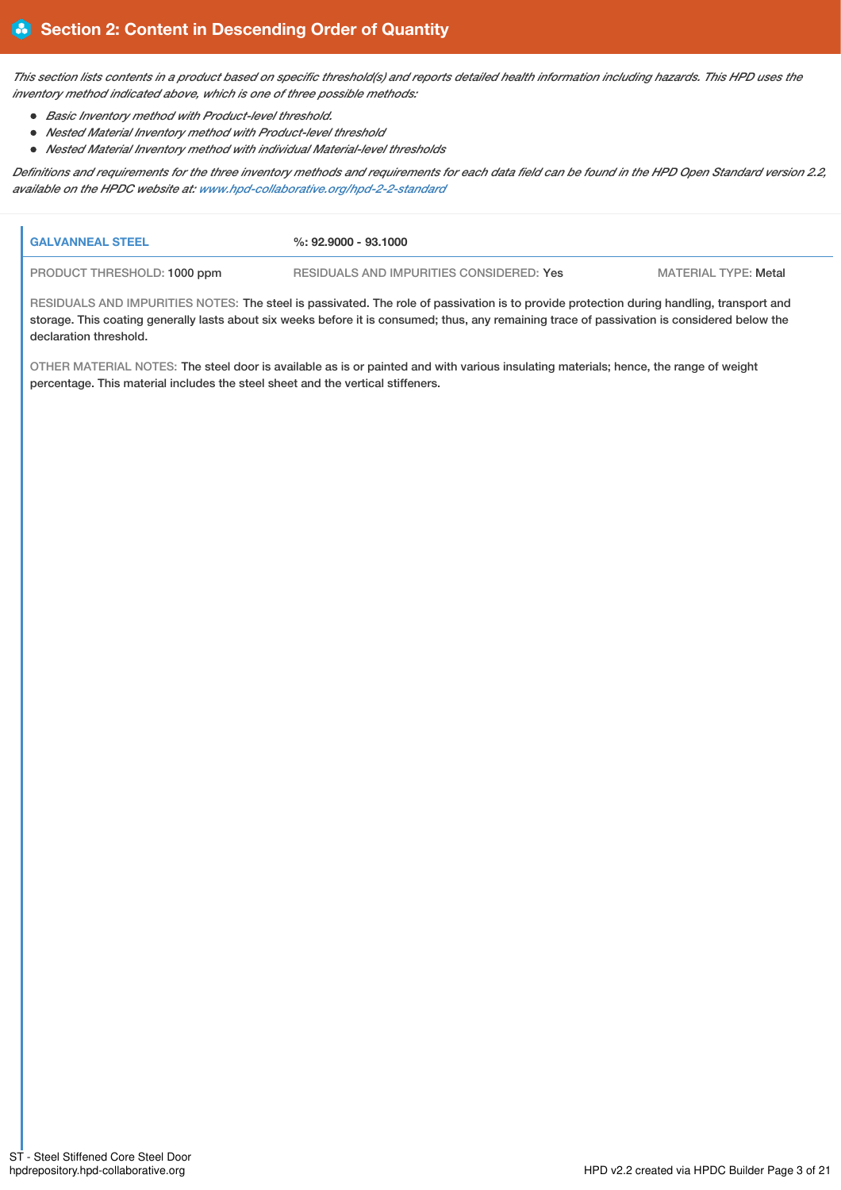This section lists contents in a product based on specific threshold(s) and reports detailed health information including hazards. This HPD uses the *inventory method indicated above, which is one of three possible methods:*

- *Basic Inventory method with Product-level threshold.*
- *Nested Material Inventory method with Product-level threshold*
- *Nested Material Inventory method with individual Material-level thresholds*

Definitions and requirements for the three inventory methods and requirements for each data field can be found in the HPD Open Standard version 2.2, *available on the HPDC website at: [www.hpd-collaborative.org/hpd-2-2-standard](https://www.hpd-collaborative.org/hpd-2-2-standard)*

| <b>I GALVANNEAL STEEL</b>          | %: 92.9000 - 93.1000                     |                             |
|------------------------------------|------------------------------------------|-----------------------------|
| <b>PRODUCT THRESHOLD: 1000 ppm</b> | RESIDUALS AND IMPURITIES CONSIDERED: Yes | <b>MATERIAL TYPE: Metal</b> |

RESIDUALS AND IMPURITIES NOTES: The steel is passivated. The role of passivation is to provide protection during handling, transport and storage. This coating generally lasts about six weeks before it is consumed; thus, any remaining trace of passivation is considered below the declaration threshold.

OTHER MATERIAL NOTES: The steel door is available as is or painted and with various insulating materials; hence, the range of weight percentage. This material includes the steel sheet and the vertical stiffeners.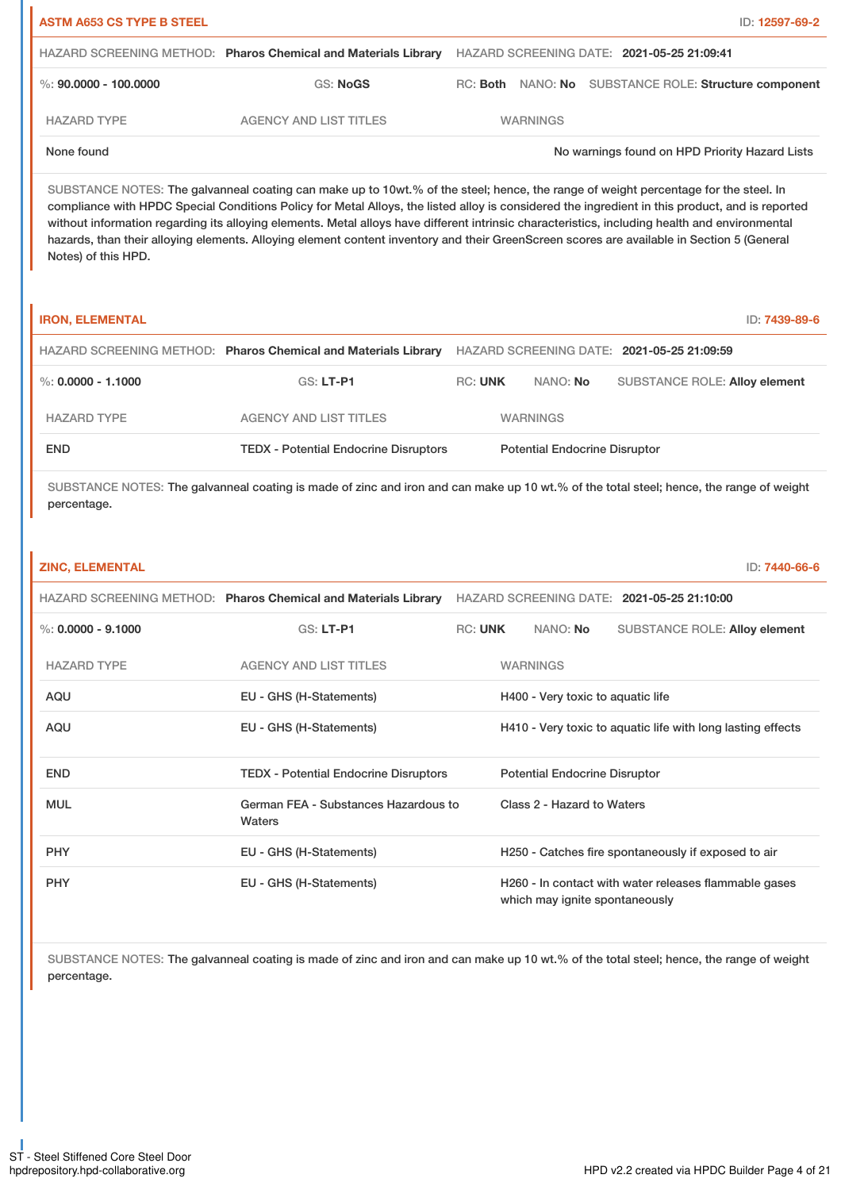| <b>ASTM A653 CS TYPE B STEEL</b> |                                                                |                 | ID: 12597-69-2                                 |
|----------------------------------|----------------------------------------------------------------|-----------------|------------------------------------------------|
|                                  | HAZARD SCREENING METHOD: Pharos Chemical and Materials Library |                 | HAZARD SCREENING DATE: 2021-05-25 21:09:41     |
| %: $90.0000 - 100.0000$          | GS: NoGS                                                       | RC: <b>Both</b> | NANO: No SUBSTANCE ROLE: Structure component   |
| <b>HAZARD TYPE</b>               | <b>AGENCY AND LIST TITLES</b>                                  | <b>WARNINGS</b> |                                                |
| None found                       |                                                                |                 | No warnings found on HPD Priority Hazard Lists |

SUBSTANCE NOTES: The galvanneal coating can make up to 10wt.% of the steel; hence, the range of weight percentage for the steel. In compliance with HPDC Special Conditions Policy for Metal Alloys, the listed alloy is considered the ingredient in this product, and is reported without information regarding its alloying elements. Metal alloys have different intrinsic characteristics, including health and environmental hazards, than their alloying elements. Alloying element content inventory and their GreenScreen scores are available in Section 5 (General Notes) of this HPD.

| <b>IRON, ELEMENTAL</b> |                                                                |                |                                      |                                            | ID: 7439-89-6 |
|------------------------|----------------------------------------------------------------|----------------|--------------------------------------|--------------------------------------------|---------------|
|                        | HAZARD SCREENING METHOD: Pharos Chemical and Materials Library |                |                                      | HAZARD SCREENING DATE: 2021-05-25 21:09:59 |               |
| %: 0.0000 - 1.1000     | $GS: LT-PI$                                                    | <b>RC: UNK</b> | NANO: No                             | <b>SUBSTANCE ROLE: Alloy element</b>       |               |
| <b>HAZARD TYPE</b>     | <b>AGENCY AND LIST TITLES</b>                                  |                | <b>WARNINGS</b>                      |                                            |               |
| <b>END</b>             | <b>TEDX</b> - Potential Endocrine Disruptors                   |                | <b>Potential Endocrine Disruptor</b> |                                            |               |

SUBSTANCE NOTES: The galvanneal coating is made of zinc and iron and can make up 10 wt.% of the total steel; hence, the range of weight percentage.

| <b>ZINC. ELEMENTAL</b> | ID: 7440-66-6 |
|------------------------|---------------|
|                        |               |

|                      | HAZARD SCREENING METHOD: Pharos Chemical and Materials Library |                |                                                                                         |                                   | HAZARD SCREENING DATE: 2021-05-25 21:10:00                  |
|----------------------|----------------------------------------------------------------|----------------|-----------------------------------------------------------------------------------------|-----------------------------------|-------------------------------------------------------------|
| %: $0.0000 - 9.1000$ | $GS: LT-PI$                                                    | <b>RC: UNK</b> |                                                                                         | NANO: No                          | <b>SUBSTANCE ROLE: Alloy element</b>                        |
| <b>HAZARD TYPE</b>   | <b>AGENCY AND LIST TITLES</b>                                  |                |                                                                                         | <b>WARNINGS</b>                   |                                                             |
| AQU                  | EU - GHS (H-Statements)                                        |                |                                                                                         | H400 - Very toxic to aquatic life |                                                             |
| AQU                  | EU - GHS (H-Statements)                                        |                |                                                                                         |                                   | H410 - Very toxic to aquatic life with long lasting effects |
| <b>END</b>           | <b>TEDX</b> - Potential Endocrine Disruptors                   |                | <b>Potential Endocrine Disruptor</b>                                                    |                                   |                                                             |
| <b>MUL</b>           | German FEA - Substances Hazardous to<br>Waters                 |                | Class 2 - Hazard to Waters                                                              |                                   |                                                             |
| <b>PHY</b>           | EU - GHS (H-Statements)                                        |                |                                                                                         |                                   | H250 - Catches fire spontaneously if exposed to air         |
| <b>PHY</b>           | EU - GHS (H-Statements)                                        |                | H260 - In contact with water releases flammable gases<br>which may ignite spontaneously |                                   |                                                             |

SUBSTANCE NOTES: The galvanneal coating is made of zinc and iron and can make up 10 wt.% of the total steel; hence, the range of weight percentage.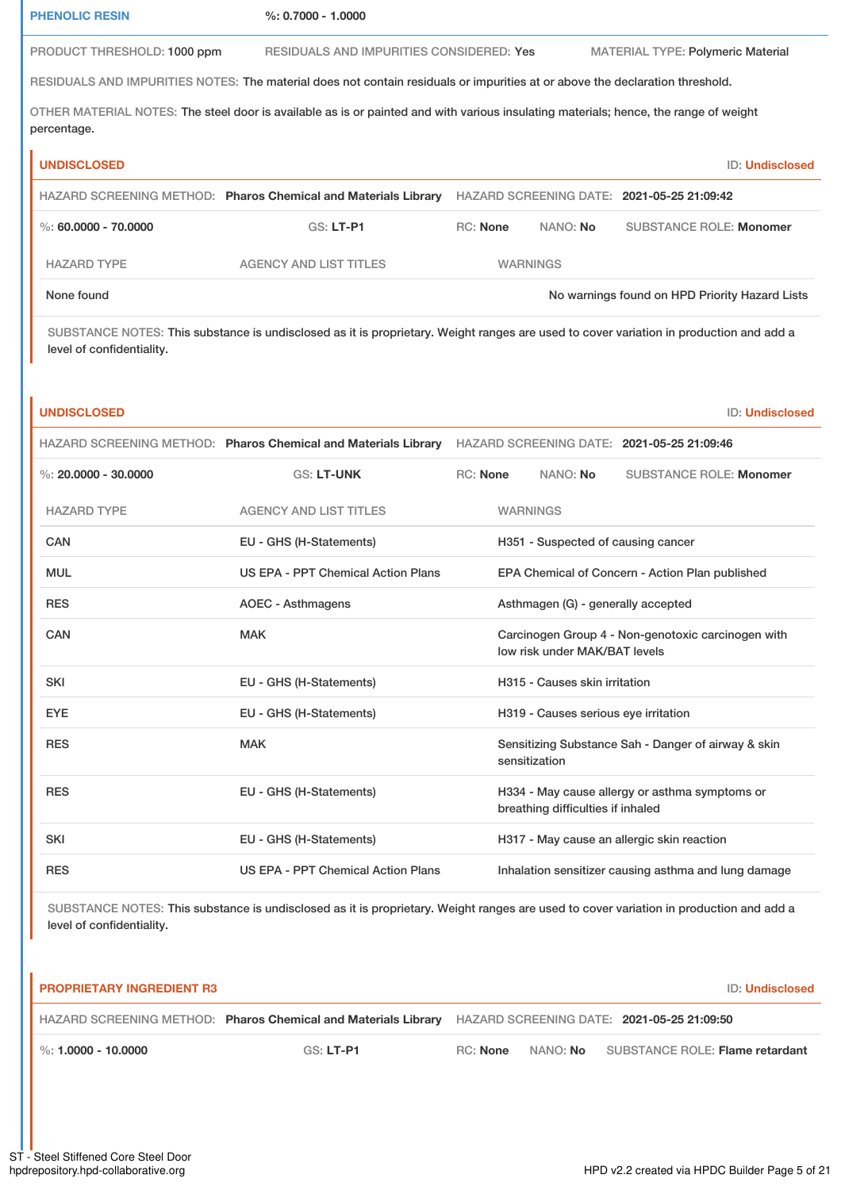| <b>PHENOLIC RESIN</b>                                                                                                                                               | $%: 0.7000 - 1.0000$                                                                                                                   |                                   |          |                                                      |                        |
|---------------------------------------------------------------------------------------------------------------------------------------------------------------------|----------------------------------------------------------------------------------------------------------------------------------------|-----------------------------------|----------|------------------------------------------------------|------------------------|
| PRODUCT THRESHOLD: 1000 ppm                                                                                                                                         | RESIDUALS AND IMPURITIES CONSIDERED: Yes                                                                                               |                                   |          | <b>MATERIAL TYPE: Polymeric Material</b>             |                        |
|                                                                                                                                                                     | RESIDUALS AND IMPURITIES NOTES: The material does not contain residuals or impurities at or above the declaration threshold.           |                                   |          |                                                      |                        |
| percentage.                                                                                                                                                         | OTHER MATERIAL NOTES: The steel door is available as is or painted and with various insulating materials; hence, the range of weight   |                                   |          |                                                      |                        |
| <b>UNDISCLOSED</b>                                                                                                                                                  |                                                                                                                                        |                                   |          |                                                      | <b>ID: Undisclosed</b> |
|                                                                                                                                                                     | HAZARD SCREENING METHOD: Pharos Chemical and Materials Library HAZARD SCREENING DATE: 2021-05-25 21:09:42                              |                                   |          |                                                      |                        |
| %: 60.0000 - 70.0000                                                                                                                                                | GS: LT-P1                                                                                                                              | <b>RC: None</b>                   | NANO: No | <b>SUBSTANCE ROLE: Monomer</b>                       |                        |
| <b>HAZARD TYPE</b>                                                                                                                                                  | <b>AGENCY AND LIST TITLES</b>                                                                                                          | <b>WARNINGS</b>                   |          |                                                      |                        |
| None found                                                                                                                                                          |                                                                                                                                        |                                   |          | No warnings found on HPD Priority Hazard Lists       |                        |
| SUBSTANCE NOTES: This substance is undisclosed as it is proprietary. Weight ranges are used to cover variation in production and add a<br>level of confidentiality. |                                                                                                                                        |                                   |          |                                                      |                        |
| <b>UNDISCLOSED</b>                                                                                                                                                  |                                                                                                                                        |                                   |          |                                                      | <b>ID: Undisclosed</b> |
|                                                                                                                                                                     | HAZARD SCREENING METHOD: Pharos Chemical and Materials Library HAZARD SCREENING DATE: 2021-05-25 21:09:46                              |                                   |          |                                                      |                        |
| %: $20.0000 - 30.0000$                                                                                                                                              | <b>GS: LT-UNK</b>                                                                                                                      | <b>RC: None</b>                   | NANO: No | <b>SUBSTANCE ROLE: Monomer</b>                       |                        |
| <b>HAZARD TYPE</b>                                                                                                                                                  | <b>AGENCY AND LIST TITLES</b>                                                                                                          | <b>WARNINGS</b>                   |          |                                                      |                        |
| <b>CAN</b>                                                                                                                                                          | EU - GHS (H-Statements)                                                                                                                |                                   |          | H351 - Suspected of causing cancer                   |                        |
| <b>MUL</b>                                                                                                                                                          | <b>US EPA - PPT Chemical Action Plans</b>                                                                                              |                                   |          | EPA Chemical of Concern - Action Plan published      |                        |
| <b>RES</b>                                                                                                                                                          | <b>AOEC - Asthmagens</b>                                                                                                               |                                   |          | Asthmagen (G) - generally accepted                   |                        |
| CAN                                                                                                                                                                 | <b>MAK</b>                                                                                                                             | low risk under MAK/BAT levels     |          | Carcinogen Group 4 - Non-genotoxic carcinogen with   |                        |
| <b>SKI</b>                                                                                                                                                          | EU - GHS (H-Statements)                                                                                                                | H315 - Causes skin irritation     |          |                                                      |                        |
| <b>EYE</b>                                                                                                                                                          | EU - GHS (H-Statements)                                                                                                                |                                   |          | H319 - Causes serious eye irritation                 |                        |
| <b>RES</b>                                                                                                                                                          | <b>MAK</b>                                                                                                                             | sensitization                     |          | Sensitizing Substance Sah - Danger of airway & skin  |                        |
| <b>RES</b>                                                                                                                                                          | EU - GHS (H-Statements)                                                                                                                | breathing difficulties if inhaled |          | H334 - May cause allergy or asthma symptoms or       |                        |
| SKI                                                                                                                                                                 | EU - GHS (H-Statements)                                                                                                                |                                   |          | H317 - May cause an allergic skin reaction           |                        |
| <b>RES</b>                                                                                                                                                          | <b>US EPA - PPT Chemical Action Plans</b>                                                                                              |                                   |          | Inhalation sensitizer causing asthma and lung damage |                        |
| level of confidentiality.                                                                                                                                           | SUBSTANCE NOTES: This substance is undisclosed as it is proprietary. Weight ranges are used to cover variation in production and add a |                                   |          |                                                      |                        |
| <b>PROPRIETARY INGREDIENT R3</b>                                                                                                                                    |                                                                                                                                        |                                   |          |                                                      | ID: Undisclosed        |
|                                                                                                                                                                     | HAZARD SCREENING METHOD: Pharos Chemical and Materials Library HAZARD SCREENING DATE: 2021-05-25 21:09:50                              |                                   |          |                                                      |                        |
| %: 1,0000 - 10,0000                                                                                                                                                 | GS: LT-P1                                                                                                                              | <b>RC: None</b><br>NANO: No       |          | <b>SUBSTANCE ROLE: Flame retardant</b>               |                        |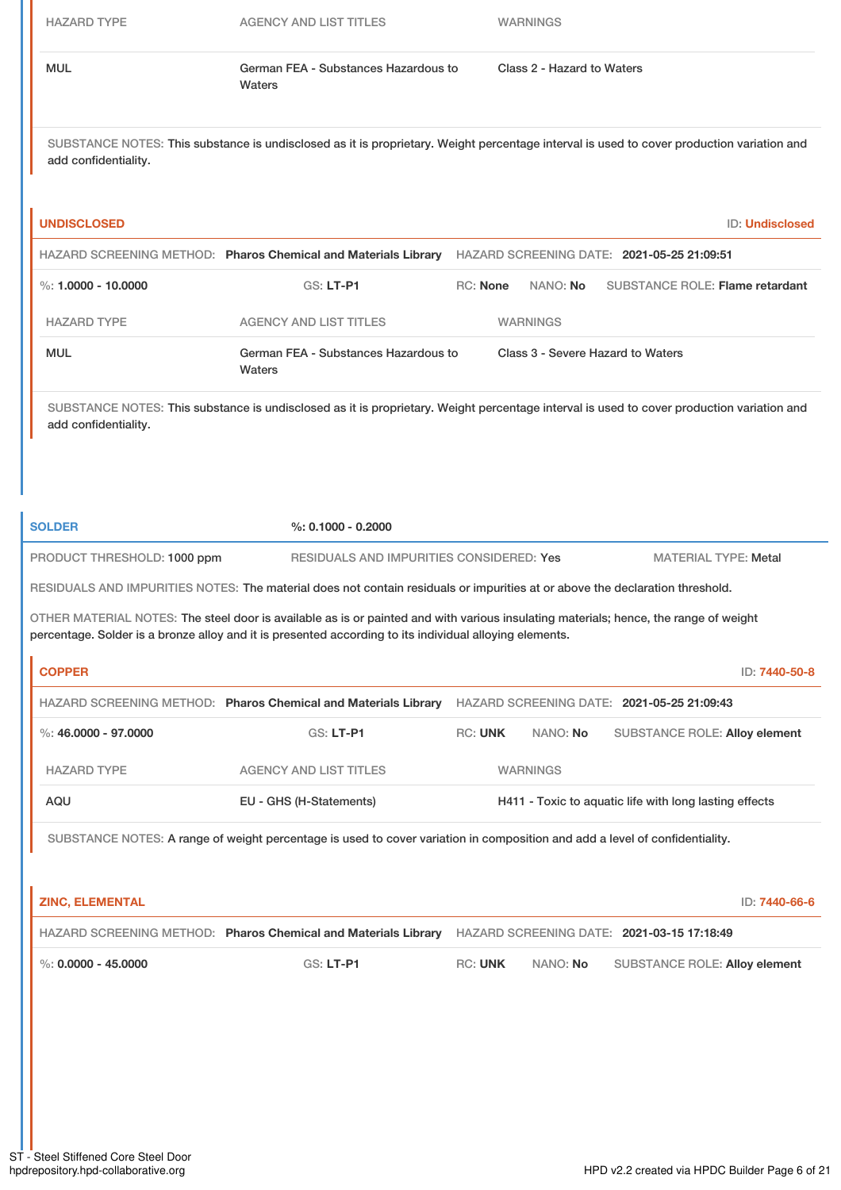HAZARD TYPE AGENCY AND LIST TITLES WARNINGS

| Waters | MUL | German FEA - Substances Hazardous to | Class 2 - Hazard to Waters |
|--------|-----|--------------------------------------|----------------------------|
|--------|-----|--------------------------------------|----------------------------|

SUBSTANCE NOTES: This substance is undisclosed as it is proprietary. Weight percentage interval is used to cover production variation and add confidentiality.

| <b>UNDISCLOSED</b>    |                                                                |            |                 | <b>ID: Undisclosed</b>                     |  |
|-----------------------|----------------------------------------------------------------|------------|-----------------|--------------------------------------------|--|
|                       | HAZARD SCREENING METHOD: Pharos Chemical and Materials Library |            |                 | HAZARD SCREENING DATE: 2021-05-25 21:09:51 |  |
| %: $1.0000 - 10.0000$ | $GS: LT-PI$                                                    | $RC:$ None | NANO: <b>No</b> | SUBSTANCE ROLE: Flame retardant            |  |
| <b>HAZARD TYPE</b>    | <b>AGENCY AND LIST TITLES</b>                                  |            | <b>WARNINGS</b> |                                            |  |
| <b>MUL</b>            | German FEA - Substances Hazardous to<br>Waters                 |            |                 | Class 3 - Severe Hazard to Waters          |  |

SUBSTANCE NOTES: This substance is undisclosed as it is proprietary. Weight percentage interval is used to cover production variation and add confidentiality.

**SOLDER %: 0.1000 - 0.2000**

PRODUCT THRESHOLD: 1000 ppm RESIDUALS AND IMPURITIES CONSIDERED: Yes MATERIAL TYPE: Metal

RESIDUALS AND IMPURITIES NOTES: The material does not contain residuals or impurities at or above the declaration threshold.

OTHER MATERIAL NOTES: The steel door is available as is or painted and with various insulating materials; hence, the range of weight percentage. Solder is a bronze alloy and it is presented according to its individual alloying elements.

| <b>COPPER</b>                                                                                                               |                                                                |                                                        |                 | ID: 7440-50-8                              |
|-----------------------------------------------------------------------------------------------------------------------------|----------------------------------------------------------------|--------------------------------------------------------|-----------------|--------------------------------------------|
|                                                                                                                             | HAZARD SCREENING METHOD: Pharos Chemical and Materials Library |                                                        |                 | HAZARD SCREENING DATE: 2021-05-25 21:09:43 |
| %: 46,0000 - 97,0000                                                                                                        | $GS: LT-PI$                                                    | <b>RC: UNK</b>                                         | NANO: No        | <b>SUBSTANCE ROLE: Alloy element</b>       |
| <b>HAZARD TYPE</b>                                                                                                          | <b>AGENCY AND LIST TITLES</b>                                  |                                                        | <b>WARNINGS</b> |                                            |
| AQU                                                                                                                         | EU - GHS (H-Statements)                                        | H411 - Toxic to aquatic life with long lasting effects |                 |                                            |
| SUBSTANCE NOTES: A range of weight percentage is used to cover variation in composition and add a level of confidentiality. |                                                                |                                                        |                 |                                            |

| <b>ZINC, ELEMENTAL</b>            |                                                                                                           |                |          |                                      | ID: <b>7440-66-6</b> |
|-----------------------------------|-----------------------------------------------------------------------------------------------------------|----------------|----------|--------------------------------------|----------------------|
|                                   | HAZARD SCREENING METHOD: Pharos Chemical and Materials Library HAZARD SCREENING DATE: 2021-03-15 17:18:49 |                |          |                                      |                      |
| $\frac{1}{2}$ %: 0.0000 - 45.0000 | $GS: LT- P1$                                                                                              | <b>RC: UNK</b> | NANO: No | <b>SUBSTANCE ROLE: Alloy element</b> |                      |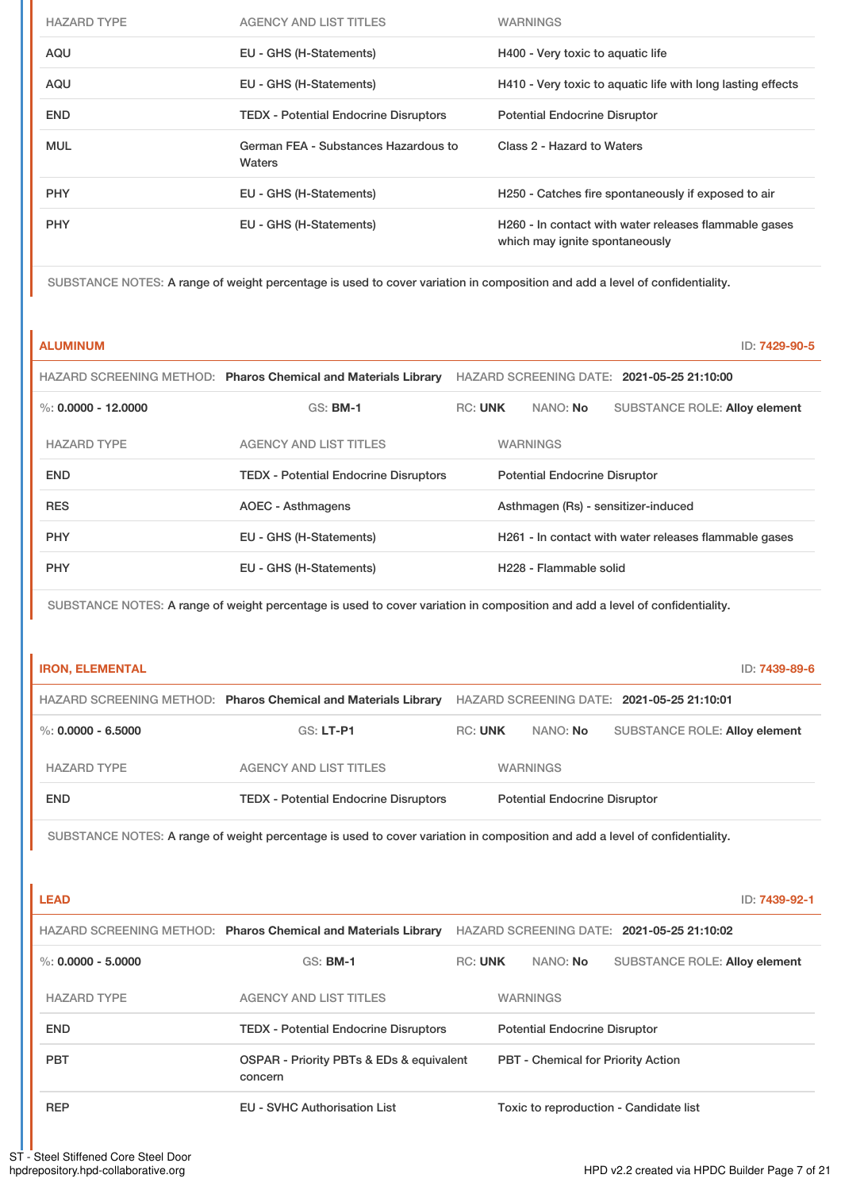| <b>HAZARD TYPE</b> | <b>AGENCY AND LIST TITLES</b>                  | <b>WARNINGS</b>                                                                         |
|--------------------|------------------------------------------------|-----------------------------------------------------------------------------------------|
| AQU                | EU - GHS (H-Statements)                        | H400 - Very toxic to aquatic life                                                       |
| AQU                | EU - GHS (H-Statements)                        | H410 - Very toxic to aquatic life with long lasting effects                             |
| <b>END</b>         | <b>TEDX - Potential Endocrine Disruptors</b>   | <b>Potential Endocrine Disruptor</b>                                                    |
| <b>MUL</b>         | German FEA - Substances Hazardous to<br>Waters | Class 2 - Hazard to Waters                                                              |
| <b>PHY</b>         | EU - GHS (H-Statements)                        | H250 - Catches fire spontaneously if exposed to air                                     |
| <b>PHY</b>         | EU - GHS (H-Statements)                        | H260 - In contact with water releases flammable gases<br>which may ignite spontaneously |

SUBSTANCE NOTES: A range of weight percentage is used to cover variation in composition and add a level of confidentiality.

**ALUMINUM** ID: **7429-90-5**

|                       | HAZARD SCREENING METHOD: Pharos Chemical and Materials Library |                |                                      | HAZARD SCREENING DATE: 2021-05-25 21:10:00            |
|-----------------------|----------------------------------------------------------------|----------------|--------------------------------------|-------------------------------------------------------|
| %: $0.0000 - 12.0000$ | $GS:$ BM-1                                                     | <b>RC: UNK</b> | NANO: No                             | <b>SUBSTANCE ROLE: Alloy element</b>                  |
| <b>HAZARD TYPE</b>    | <b>AGENCY AND LIST TITLES</b>                                  |                | <b>WARNINGS</b>                      |                                                       |
| <b>END</b>            | <b>TEDX - Potential Endocrine Disruptors</b>                   |                | <b>Potential Endocrine Disruptor</b> |                                                       |
| <b>RES</b>            | <b>AOEC - Asthmagens</b>                                       |                |                                      | Asthmagen (Rs) - sensitizer-induced                   |
| <b>PHY</b>            | EU - GHS (H-Statements)                                        |                |                                      | H261 - In contact with water releases flammable gases |
| <b>PHY</b>            | EU - GHS (H-Statements)                                        |                | H <sub>228</sub> - Flammable solid   |                                                       |

SUBSTANCE NOTES: A range of weight percentage is used to cover variation in composition and add a level of confidentiality.

# **IRON, ELEMENTAL** ID: **7439-89-6**

|                        | HAZARD SCREENING METHOD: Pharos Chemical and Materials Library | HAZARD SCREENING DATE: 2021-05-25 21:10:01 |  |                                      |                                      |
|------------------------|----------------------------------------------------------------|--------------------------------------------|--|--------------------------------------|--------------------------------------|
| $\%$ : 0.0000 - 6.5000 | $GS: LT-PI$                                                    | <b>RC: UNK</b>                             |  | NANO: <b>No</b>                      | <b>SUBSTANCE ROLE: Alloy element</b> |
| <b>HAZARD TYPE</b>     | <b>AGENCY AND LIST TITLES</b>                                  |                                            |  | <b>WARNINGS</b>                      |                                      |
| <b>END</b>             | <b>TEDX - Potential Endocrine Disruptors</b>                   |                                            |  | <b>Potential Endocrine Disruptor</b> |                                      |

SUBSTANCE NOTES: A range of weight percentage is used to cover variation in composition and add a level of confidentiality.

| <b>LEAD</b>          |                                                                |                |                                      | ID: 7439-92-1                              |
|----------------------|----------------------------------------------------------------|----------------|--------------------------------------|--------------------------------------------|
|                      | HAZARD SCREENING METHOD: Pharos Chemical and Materials Library |                |                                      | HAZARD SCREENING DATE: 2021-05-25 21:10:02 |
| %: $0.0000 - 5.0000$ | $GS:$ BM-1                                                     | <b>RC: UNK</b> | NANO: No                             | <b>SUBSTANCE ROLE: Alloy element</b>       |
| <b>HAZARD TYPE</b>   | <b>AGENCY AND LIST TITLES</b>                                  |                | <b>WARNINGS</b>                      |                                            |
| <b>END</b>           | <b>TEDX - Potential Endocrine Disruptors</b>                   |                | <b>Potential Endocrine Disruptor</b> |                                            |
| <b>PBT</b>           | OSPAR - Priority PBTs & EDs & equivalent<br>concern            |                |                                      | <b>PBT - Chemical for Priority Action</b>  |
| <b>REP</b>           | <b>EU - SVHC Authorisation List</b>                            |                |                                      | Toxic to reproduction - Candidate list     |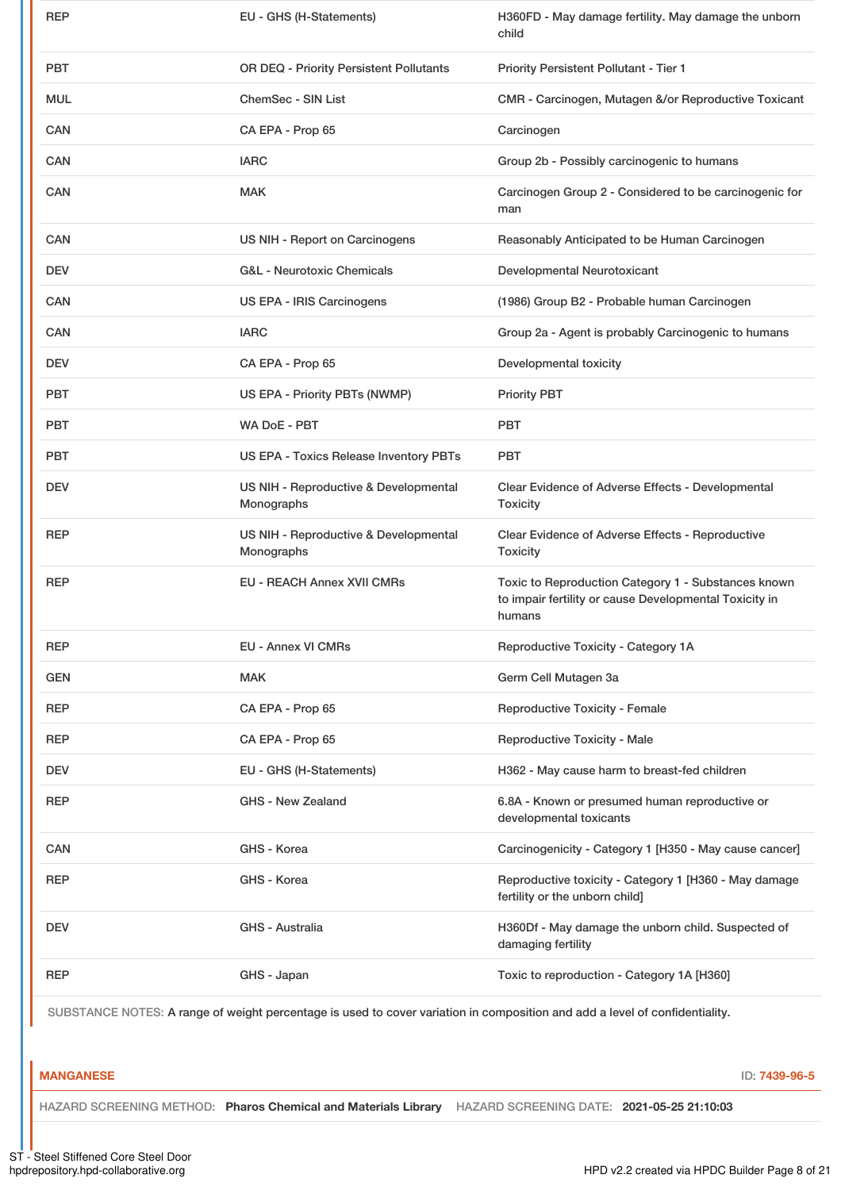| <b>PBT</b><br>OR DEQ - Priority Persistent Pollutants<br>Priority Persistent Pollutant - Tier 1<br><b>ChemSec - SIN List</b><br><b>MUL</b><br>CMR - Carcinogen, Mutagen &/or Reproductive Toxicant<br><b>CAN</b><br>CA EPA - Prop 65<br>Carcinogen<br><b>CAN</b><br><b>IARC</b><br>Group 2b - Possibly carcinogenic to humans<br><b>CAN</b><br><b>MAK</b><br>Carcinogen Group 2 - Considered to be carcinogenic for<br>man<br><b>CAN</b><br>US NIH - Report on Carcinogens<br>Reasonably Anticipated to be Human Carcinogen<br><b>G&amp;L</b> - Neurotoxic Chemicals<br><b>DEV</b><br>Developmental Neurotoxicant<br><b>CAN</b><br>US EPA - IRIS Carcinogens<br>(1986) Group B2 - Probable human Carcinogen<br>Group 2a - Agent is probably Carcinogenic to humans<br><b>CAN</b><br><b>IARC</b><br>Developmental toxicity<br><b>DEV</b><br>CA EPA - Prop 65<br><b>PBT</b><br>US EPA - Priority PBTs (NWMP)<br><b>Priority PBT</b><br>WA DoE - PBT<br><b>PBT</b><br><b>PBT</b><br>US EPA - Toxics Release Inventory PBTs<br><b>PBT</b><br><b>PBT</b><br>US NIH - Reproductive & Developmental<br><b>DEV</b><br>Clear Evidence of Adverse Effects - Developmental<br>Monographs<br><b>Toxicity</b><br><b>REP</b><br>US NIH - Reproductive & Developmental<br>Clear Evidence of Adverse Effects - Reproductive<br>Monographs<br><b>Toxicity</b><br>Toxic to Reproduction Category 1 - Substances known<br><b>REP</b><br><b>EU - REACH Annex XVII CMRs</b><br>to impair fertility or cause Developmental Toxicity in<br>humans<br><b>EU - Annex VI CMRs</b><br>Reproductive Toxicity - Category 1A<br><b>REP</b><br><b>GEN</b><br><b>MAK</b><br>Germ Cell Mutagen 3a<br><b>REP</b><br>CA EPA - Prop 65<br><b>Reproductive Toxicity - Female</b><br><b>Reproductive Toxicity - Male</b><br><b>REP</b><br>CA EPA - Prop 65<br><b>DEV</b><br>EU - GHS (H-Statements)<br>H362 - May cause harm to breast-fed children<br><b>GHS - New Zealand</b><br>6.8A - Known or presumed human reproductive or<br><b>REP</b><br>developmental toxicants<br>CAN<br>GHS - Korea<br>Carcinogenicity - Category 1 [H350 - May cause cancer]<br>Reproductive toxicity - Category 1 [H360 - May damage<br><b>REP</b><br>GHS - Korea<br>fertility or the unborn child]<br>H360Df - May damage the unborn child. Suspected of<br><b>DEV</b><br>GHS - Australia<br>damaging fertility<br><b>REP</b><br>GHS - Japan<br>Toxic to reproduction - Category 1A [H360] | <b>REP</b> | EU - GHS (H-Statements) | H360FD - May damage fertility. May damage the unborn<br>child |
|--------------------------------------------------------------------------------------------------------------------------------------------------------------------------------------------------------------------------------------------------------------------------------------------------------------------------------------------------------------------------------------------------------------------------------------------------------------------------------------------------------------------------------------------------------------------------------------------------------------------------------------------------------------------------------------------------------------------------------------------------------------------------------------------------------------------------------------------------------------------------------------------------------------------------------------------------------------------------------------------------------------------------------------------------------------------------------------------------------------------------------------------------------------------------------------------------------------------------------------------------------------------------------------------------------------------------------------------------------------------------------------------------------------------------------------------------------------------------------------------------------------------------------------------------------------------------------------------------------------------------------------------------------------------------------------------------------------------------------------------------------------------------------------------------------------------------------------------------------------------------------------------------------------------------------------------------------------------------------------------------------------------------------------------------------------------------------------------------------------------------------------------------------------------------------------------------------------------------------------------------------------------------------------------------------------------------------------------------------------------------------------------------------------------------------------|------------|-------------------------|---------------------------------------------------------------|
|                                                                                                                                                                                                                                                                                                                                                                                                                                                                                                                                                                                                                                                                                                                                                                                                                                                                                                                                                                                                                                                                                                                                                                                                                                                                                                                                                                                                                                                                                                                                                                                                                                                                                                                                                                                                                                                                                                                                                                                                                                                                                                                                                                                                                                                                                                                                                                                                                                      |            |                         |                                                               |
|                                                                                                                                                                                                                                                                                                                                                                                                                                                                                                                                                                                                                                                                                                                                                                                                                                                                                                                                                                                                                                                                                                                                                                                                                                                                                                                                                                                                                                                                                                                                                                                                                                                                                                                                                                                                                                                                                                                                                                                                                                                                                                                                                                                                                                                                                                                                                                                                                                      |            |                         |                                                               |
|                                                                                                                                                                                                                                                                                                                                                                                                                                                                                                                                                                                                                                                                                                                                                                                                                                                                                                                                                                                                                                                                                                                                                                                                                                                                                                                                                                                                                                                                                                                                                                                                                                                                                                                                                                                                                                                                                                                                                                                                                                                                                                                                                                                                                                                                                                                                                                                                                                      |            |                         |                                                               |
|                                                                                                                                                                                                                                                                                                                                                                                                                                                                                                                                                                                                                                                                                                                                                                                                                                                                                                                                                                                                                                                                                                                                                                                                                                                                                                                                                                                                                                                                                                                                                                                                                                                                                                                                                                                                                                                                                                                                                                                                                                                                                                                                                                                                                                                                                                                                                                                                                                      |            |                         |                                                               |
|                                                                                                                                                                                                                                                                                                                                                                                                                                                                                                                                                                                                                                                                                                                                                                                                                                                                                                                                                                                                                                                                                                                                                                                                                                                                                                                                                                                                                                                                                                                                                                                                                                                                                                                                                                                                                                                                                                                                                                                                                                                                                                                                                                                                                                                                                                                                                                                                                                      |            |                         |                                                               |
|                                                                                                                                                                                                                                                                                                                                                                                                                                                                                                                                                                                                                                                                                                                                                                                                                                                                                                                                                                                                                                                                                                                                                                                                                                                                                                                                                                                                                                                                                                                                                                                                                                                                                                                                                                                                                                                                                                                                                                                                                                                                                                                                                                                                                                                                                                                                                                                                                                      |            |                         |                                                               |
|                                                                                                                                                                                                                                                                                                                                                                                                                                                                                                                                                                                                                                                                                                                                                                                                                                                                                                                                                                                                                                                                                                                                                                                                                                                                                                                                                                                                                                                                                                                                                                                                                                                                                                                                                                                                                                                                                                                                                                                                                                                                                                                                                                                                                                                                                                                                                                                                                                      |            |                         |                                                               |
|                                                                                                                                                                                                                                                                                                                                                                                                                                                                                                                                                                                                                                                                                                                                                                                                                                                                                                                                                                                                                                                                                                                                                                                                                                                                                                                                                                                                                                                                                                                                                                                                                                                                                                                                                                                                                                                                                                                                                                                                                                                                                                                                                                                                                                                                                                                                                                                                                                      |            |                         |                                                               |
|                                                                                                                                                                                                                                                                                                                                                                                                                                                                                                                                                                                                                                                                                                                                                                                                                                                                                                                                                                                                                                                                                                                                                                                                                                                                                                                                                                                                                                                                                                                                                                                                                                                                                                                                                                                                                                                                                                                                                                                                                                                                                                                                                                                                                                                                                                                                                                                                                                      |            |                         |                                                               |
|                                                                                                                                                                                                                                                                                                                                                                                                                                                                                                                                                                                                                                                                                                                                                                                                                                                                                                                                                                                                                                                                                                                                                                                                                                                                                                                                                                                                                                                                                                                                                                                                                                                                                                                                                                                                                                                                                                                                                                                                                                                                                                                                                                                                                                                                                                                                                                                                                                      |            |                         |                                                               |
|                                                                                                                                                                                                                                                                                                                                                                                                                                                                                                                                                                                                                                                                                                                                                                                                                                                                                                                                                                                                                                                                                                                                                                                                                                                                                                                                                                                                                                                                                                                                                                                                                                                                                                                                                                                                                                                                                                                                                                                                                                                                                                                                                                                                                                                                                                                                                                                                                                      |            |                         |                                                               |
|                                                                                                                                                                                                                                                                                                                                                                                                                                                                                                                                                                                                                                                                                                                                                                                                                                                                                                                                                                                                                                                                                                                                                                                                                                                                                                                                                                                                                                                                                                                                                                                                                                                                                                                                                                                                                                                                                                                                                                                                                                                                                                                                                                                                                                                                                                                                                                                                                                      |            |                         |                                                               |
|                                                                                                                                                                                                                                                                                                                                                                                                                                                                                                                                                                                                                                                                                                                                                                                                                                                                                                                                                                                                                                                                                                                                                                                                                                                                                                                                                                                                                                                                                                                                                                                                                                                                                                                                                                                                                                                                                                                                                                                                                                                                                                                                                                                                                                                                                                                                                                                                                                      |            |                         |                                                               |
|                                                                                                                                                                                                                                                                                                                                                                                                                                                                                                                                                                                                                                                                                                                                                                                                                                                                                                                                                                                                                                                                                                                                                                                                                                                                                                                                                                                                                                                                                                                                                                                                                                                                                                                                                                                                                                                                                                                                                                                                                                                                                                                                                                                                                                                                                                                                                                                                                                      |            |                         |                                                               |
|                                                                                                                                                                                                                                                                                                                                                                                                                                                                                                                                                                                                                                                                                                                                                                                                                                                                                                                                                                                                                                                                                                                                                                                                                                                                                                                                                                                                                                                                                                                                                                                                                                                                                                                                                                                                                                                                                                                                                                                                                                                                                                                                                                                                                                                                                                                                                                                                                                      |            |                         |                                                               |
|                                                                                                                                                                                                                                                                                                                                                                                                                                                                                                                                                                                                                                                                                                                                                                                                                                                                                                                                                                                                                                                                                                                                                                                                                                                                                                                                                                                                                                                                                                                                                                                                                                                                                                                                                                                                                                                                                                                                                                                                                                                                                                                                                                                                                                                                                                                                                                                                                                      |            |                         |                                                               |
|                                                                                                                                                                                                                                                                                                                                                                                                                                                                                                                                                                                                                                                                                                                                                                                                                                                                                                                                                                                                                                                                                                                                                                                                                                                                                                                                                                                                                                                                                                                                                                                                                                                                                                                                                                                                                                                                                                                                                                                                                                                                                                                                                                                                                                                                                                                                                                                                                                      |            |                         |                                                               |
|                                                                                                                                                                                                                                                                                                                                                                                                                                                                                                                                                                                                                                                                                                                                                                                                                                                                                                                                                                                                                                                                                                                                                                                                                                                                                                                                                                                                                                                                                                                                                                                                                                                                                                                                                                                                                                                                                                                                                                                                                                                                                                                                                                                                                                                                                                                                                                                                                                      |            |                         |                                                               |
|                                                                                                                                                                                                                                                                                                                                                                                                                                                                                                                                                                                                                                                                                                                                                                                                                                                                                                                                                                                                                                                                                                                                                                                                                                                                                                                                                                                                                                                                                                                                                                                                                                                                                                                                                                                                                                                                                                                                                                                                                                                                                                                                                                                                                                                                                                                                                                                                                                      |            |                         |                                                               |
|                                                                                                                                                                                                                                                                                                                                                                                                                                                                                                                                                                                                                                                                                                                                                                                                                                                                                                                                                                                                                                                                                                                                                                                                                                                                                                                                                                                                                                                                                                                                                                                                                                                                                                                                                                                                                                                                                                                                                                                                                                                                                                                                                                                                                                                                                                                                                                                                                                      |            |                         |                                                               |
|                                                                                                                                                                                                                                                                                                                                                                                                                                                                                                                                                                                                                                                                                                                                                                                                                                                                                                                                                                                                                                                                                                                                                                                                                                                                                                                                                                                                                                                                                                                                                                                                                                                                                                                                                                                                                                                                                                                                                                                                                                                                                                                                                                                                                                                                                                                                                                                                                                      |            |                         |                                                               |
|                                                                                                                                                                                                                                                                                                                                                                                                                                                                                                                                                                                                                                                                                                                                                                                                                                                                                                                                                                                                                                                                                                                                                                                                                                                                                                                                                                                                                                                                                                                                                                                                                                                                                                                                                                                                                                                                                                                                                                                                                                                                                                                                                                                                                                                                                                                                                                                                                                      |            |                         |                                                               |
|                                                                                                                                                                                                                                                                                                                                                                                                                                                                                                                                                                                                                                                                                                                                                                                                                                                                                                                                                                                                                                                                                                                                                                                                                                                                                                                                                                                                                                                                                                                                                                                                                                                                                                                                                                                                                                                                                                                                                                                                                                                                                                                                                                                                                                                                                                                                                                                                                                      |            |                         |                                                               |
|                                                                                                                                                                                                                                                                                                                                                                                                                                                                                                                                                                                                                                                                                                                                                                                                                                                                                                                                                                                                                                                                                                                                                                                                                                                                                                                                                                                                                                                                                                                                                                                                                                                                                                                                                                                                                                                                                                                                                                                                                                                                                                                                                                                                                                                                                                                                                                                                                                      |            |                         |                                                               |
|                                                                                                                                                                                                                                                                                                                                                                                                                                                                                                                                                                                                                                                                                                                                                                                                                                                                                                                                                                                                                                                                                                                                                                                                                                                                                                                                                                                                                                                                                                                                                                                                                                                                                                                                                                                                                                                                                                                                                                                                                                                                                                                                                                                                                                                                                                                                                                                                                                      |            |                         |                                                               |
|                                                                                                                                                                                                                                                                                                                                                                                                                                                                                                                                                                                                                                                                                                                                                                                                                                                                                                                                                                                                                                                                                                                                                                                                                                                                                                                                                                                                                                                                                                                                                                                                                                                                                                                                                                                                                                                                                                                                                                                                                                                                                                                                                                                                                                                                                                                                                                                                                                      |            |                         |                                                               |

SUBSTANCE NOTES: A range of weight percentage is used to cover variation in composition and add a level of confidentiality.

# **MANGANESE** ID: **7439-96-5**

HAZARD SCREENING METHOD: **Pharos Chemical and Materials Library** HAZARD SCREENING DATE: **2021-05-25 21:10:03**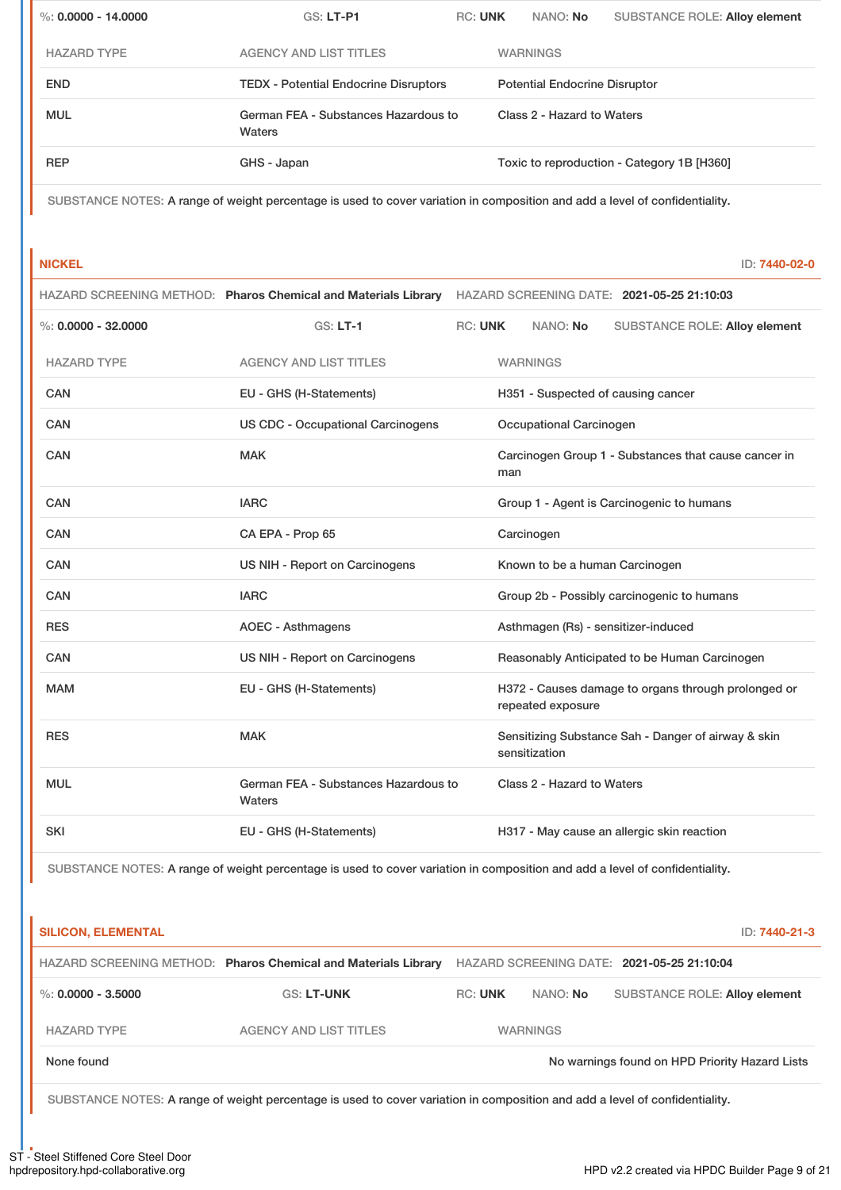| %: $0.0000 - 14.0000$ | $GS: LT-P1$                                    | <b>RC: UNK</b> | NANO: No                             | <b>SUBSTANCE ROLE: Alloy element</b>       |
|-----------------------|------------------------------------------------|----------------|--------------------------------------|--------------------------------------------|
| <b>HAZARD TYPE</b>    | <b>AGENCY AND LIST TITLES</b>                  |                | <b>WARNINGS</b>                      |                                            |
| <b>END</b>            | <b>TEDX - Potential Endocrine Disruptors</b>   |                | <b>Potential Endocrine Disruptor</b> |                                            |
| <b>MUL</b>            | German FEA - Substances Hazardous to<br>Waters |                | Class 2 - Hazard to Waters           |                                            |
| <b>REP</b>            | GHS - Japan                                    |                |                                      | Toxic to reproduction - Category 1B [H360] |

SUBSTANCE NOTES: A range of weight percentage is used to cover variation in composition and add a level of confidentiality.

**NICKEL** ID: **7440-02-0**

|                        |                                                | HAZARD SCREENING METHOD: Pharos Chemical and Materials Library HAZARD SCREENING DATE: 2021-05-25 21:10:03 |
|------------------------|------------------------------------------------|-----------------------------------------------------------------------------------------------------------|
| $\%: 0.0000 - 32.0000$ | $GS: LT-1$                                     | <b>RC: UNK</b><br>NANO: No<br><b>SUBSTANCE ROLE: Alloy element</b>                                        |
| <b>HAZARD TYPE</b>     | <b>AGENCY AND LIST TITLES</b>                  | <b>WARNINGS</b>                                                                                           |
| CAN                    | EU - GHS (H-Statements)                        | H351 - Suspected of causing cancer                                                                        |
| <b>CAN</b>             | <b>US CDC - Occupational Carcinogens</b>       | Occupational Carcinogen                                                                                   |
| <b>CAN</b>             | <b>MAK</b>                                     | Carcinogen Group 1 - Substances that cause cancer in<br>man                                               |
| <b>CAN</b>             | <b>IARC</b>                                    | Group 1 - Agent is Carcinogenic to humans                                                                 |
| CAN                    | CA EPA - Prop 65                               | Carcinogen                                                                                                |
| CAN                    | US NIH - Report on Carcinogens                 | Known to be a human Carcinogen                                                                            |
| <b>CAN</b>             | <b>IARC</b>                                    | Group 2b - Possibly carcinogenic to humans                                                                |
| <b>RES</b>             | <b>AOEC - Asthmagens</b>                       | Asthmagen (Rs) - sensitizer-induced                                                                       |
| CAN                    | US NIH - Report on Carcinogens                 | Reasonably Anticipated to be Human Carcinogen                                                             |
| <b>MAM</b>             | EU - GHS (H-Statements)                        | H372 - Causes damage to organs through prolonged or<br>repeated exposure                                  |
| <b>RES</b>             | <b>MAK</b>                                     | Sensitizing Substance Sah - Danger of airway & skin<br>sensitization                                      |
| <b>MUL</b>             | German FEA - Substances Hazardous to<br>Waters | Class 2 - Hazard to Waters                                                                                |
| <b>SKI</b>             | EU - GHS (H-Statements)                        | H317 - May cause an allergic skin reaction                                                                |

SUBSTANCE NOTES: A range of weight percentage is used to cover variation in composition and add a level of confidentiality.

| <b>SILICON, ELEMENTAL</b> |                                                                |                |                 | ID: 7440-21-3                                  |
|---------------------------|----------------------------------------------------------------|----------------|-----------------|------------------------------------------------|
|                           | HAZARD SCREENING METHOD: Pharos Chemical and Materials Library |                |                 | HAZARD SCREENING DATE: 2021-05-25 21:10:04     |
| %: $0.0000 - 3.5000$      | <b>GS: LT-UNK</b>                                              | <b>RC: UNK</b> | NANO: No        | <b>SUBSTANCE ROLE: Alloy element</b>           |
| <b>HAZARD TYPE</b>        | <b>AGENCY AND LIST TITLES</b>                                  |                | <b>WARNINGS</b> |                                                |
| None found                |                                                                |                |                 | No warnings found on HPD Priority Hazard Lists |

SUBSTANCE NOTES: A range of weight percentage is used to cover variation in composition and add a level of confidentiality.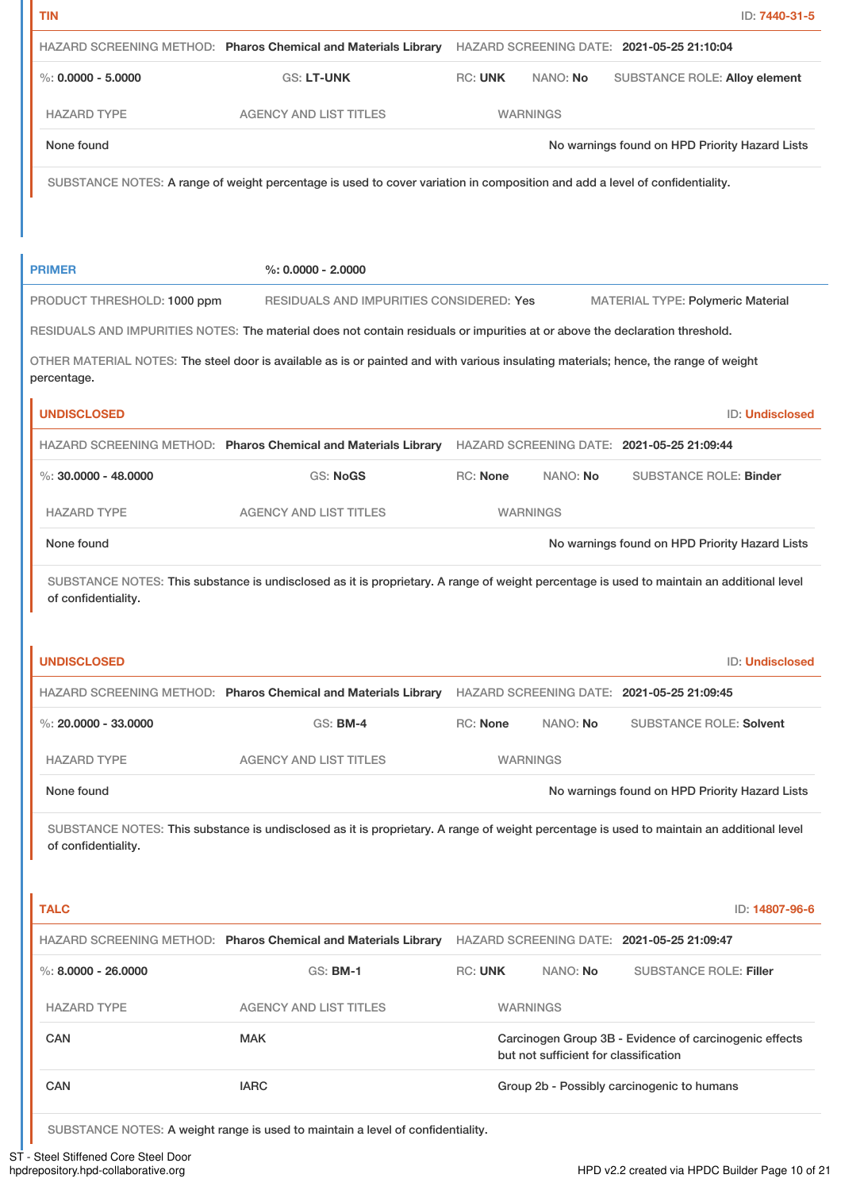| TIN                                                                               |                                                                                                                                           |                 |                                       |                                            | ID: 7440-31-5                                                                                                              |
|-----------------------------------------------------------------------------------|-------------------------------------------------------------------------------------------------------------------------------------------|-----------------|---------------------------------------|--------------------------------------------|----------------------------------------------------------------------------------------------------------------------------|
|                                                                                   | HAZARD SCREENING METHOD: Pharos Chemical and Materials Library                                                                            |                 |                                       | HAZARD SCREENING DATE: 2021-05-25 21:10:04 |                                                                                                                            |
| %: $0.0000 - 5.0000$                                                              | <b>GS: LT-UNK</b>                                                                                                                         | <b>RC: UNK</b>  | NANO: No                              |                                            | <b>SUBSTANCE ROLE: Alloy element</b>                                                                                       |
| <b>HAZARD TYPE</b>                                                                | <b>AGENCY AND LIST TITLES</b>                                                                                                             |                 | <b>WARNINGS</b>                       |                                            |                                                                                                                            |
| None found                                                                        |                                                                                                                                           |                 |                                       |                                            | No warnings found on HPD Priority Hazard Lists                                                                             |
|                                                                                   | SUBSTANCE NOTES: A range of weight percentage is used to cover variation in composition and add a level of confidentiality.               |                 |                                       |                                            |                                                                                                                            |
|                                                                                   |                                                                                                                                           |                 |                                       |                                            |                                                                                                                            |
| <b>PRIMER</b>                                                                     | $\%$ : 0.0000 - 2.0000                                                                                                                    |                 |                                       |                                            |                                                                                                                            |
| PRODUCT THRESHOLD: 1000 ppm                                                       | RESIDUALS AND IMPURITIES CONSIDERED: Yes                                                                                                  |                 |                                       |                                            | <b>MATERIAL TYPE: Polymeric Material</b>                                                                                   |
|                                                                                   | RESIDUALS AND IMPURITIES NOTES: The material does not contain residuals or impurities at or above the declaration threshold.              |                 |                                       |                                            |                                                                                                                            |
|                                                                                   | OTHER MATERIAL NOTES: The steel door is available as is or painted and with various insulating materials; hence, the range of weight      |                 |                                       |                                            |                                                                                                                            |
| percentage.                                                                       |                                                                                                                                           |                 |                                       |                                            |                                                                                                                            |
| <b>UNDISCLOSED</b>                                                                |                                                                                                                                           |                 |                                       |                                            | ID: Undisclosed                                                                                                            |
|                                                                                   | HAZARD SCREENING METHOD: Pharos Chemical and Materials Library HAZARD SCREENING DATE: 2021-05-25 21:09:44                                 |                 |                                       |                                            |                                                                                                                            |
| %: $30,0000 - 48,0000$                                                            | <b>GS: NoGS</b>                                                                                                                           | <b>RC: None</b> | NANO: No                              |                                            | <b>SUBSTANCE ROLE: Binder</b>                                                                                              |
|                                                                                   |                                                                                                                                           |                 |                                       |                                            |                                                                                                                            |
|                                                                                   | <b>AGENCY AND LIST TITLES</b>                                                                                                             |                 | <b>WARNINGS</b>                       |                                            |                                                                                                                            |
| <b>HAZARD TYPE</b><br>None found<br>of confidentiality.                           | SUBSTANCE NOTES: This substance is undisclosed as it is proprietary. A range of weight percentage is used to maintain an additional level |                 |                                       |                                            | No warnings found on HPD Priority Hazard Lists                                                                             |
| <b>UNDISCLOSED</b>                                                                |                                                                                                                                           |                 |                                       |                                            | ID: Undisclosed                                                                                                            |
|                                                                                   | HAZARD SCREENING METHOD: Pharos Chemical and Materials Library                                                                            |                 |                                       | HAZARD SCREENING DATE: 2021-05-25 21:09:45 |                                                                                                                            |
|                                                                                   | <b>GS: BM-4</b>                                                                                                                           | <b>RC: None</b> | NANO: No                              |                                            | <b>SUBSTANCE ROLE: Solvent</b>                                                                                             |
|                                                                                   | <b>AGENCY AND LIST TITLES</b>                                                                                                             |                 | <b>WARNINGS</b>                       |                                            |                                                                                                                            |
|                                                                                   |                                                                                                                                           |                 |                                       |                                            |                                                                                                                            |
| %: $20.0000 - 33.0000$<br><b>HAZARD TYPE</b><br>None found<br>of confidentiality. | SUBSTANCE NOTES: This substance is undisclosed as it is proprietary. A range of weight percentage is used to maintain an additional level |                 |                                       |                                            |                                                                                                                            |
| <b>TALC</b>                                                                       |                                                                                                                                           |                 |                                       |                                            |                                                                                                                            |
|                                                                                   | HAZARD SCREENING METHOD: Pharos Chemical and Materials Library HAZARD SCREENING DATE: 2021-05-25 21:09:47                                 |                 |                                       |                                            |                                                                                                                            |
|                                                                                   | <b>GS: BM-1</b>                                                                                                                           | <b>RC: UNK</b>  | NANO: No                              |                                            | <b>SUBSTANCE ROLE: Filler</b>                                                                                              |
|                                                                                   | <b>AGENCY AND LIST TITLES</b>                                                                                                             |                 | <b>WARNINGS</b>                       |                                            |                                                                                                                            |
| %: $8.0000 - 26.0000$<br><b>HAZARD TYPE</b><br>CAN                                | <b>MAK</b>                                                                                                                                |                 | but not sufficient for classification |                                            | No warnings found on HPD Priority Hazard Lists<br>ID: 14807-96-6<br>Carcinogen Group 3B - Evidence of carcinogenic effects |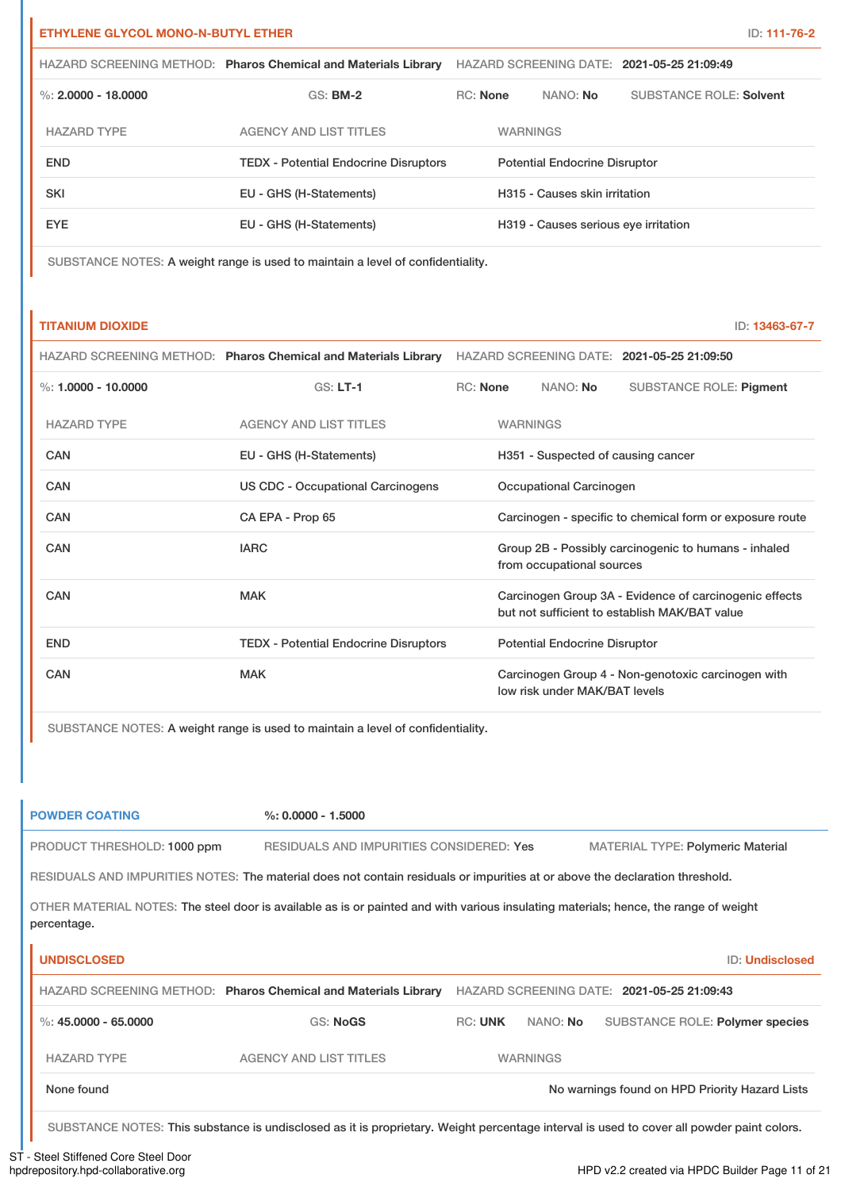| <b>ETHYLENE GLYCOL MONO-N-BUTYL ETHER</b> |  | ID: 111-76-2 |
|-------------------------------------------|--|--------------|
|                                           |  |              |

|                       | HAZARD SCREENING METHOD: Pharos Chemical and Materials Library | HAZARD SCREENING DATE: 2021-05-25 21:09:49 |                                      |                                |
|-----------------------|----------------------------------------------------------------|--------------------------------------------|--------------------------------------|--------------------------------|
| %: $2.0000 - 18.0000$ | $GS:$ BM-2                                                     | <b>RC:</b> None                            | NANO: No                             | <b>SUBSTANCE ROLE: Solvent</b> |
| <b>HAZARD TYPE</b>    | <b>AGENCY AND LIST TITLES</b>                                  |                                            | <b>WARNINGS</b>                      |                                |
| <b>END</b>            | <b>TEDX - Potential Endocrine Disruptors</b>                   |                                            | <b>Potential Endocrine Disruptor</b> |                                |
| <b>SKI</b>            | EU - GHS (H-Statements)                                        |                                            | H315 - Causes skin irritation        |                                |
| EYE.                  | EU - GHS (H-Statements)                                        |                                            | H319 - Causes serious eye irritation |                                |

SUBSTANCE NOTES: A weight range is used to maintain a level of confidentiality.

# **TITANIUM DIOXIDE** ID: **13463-67-7**

|                       | HAZARD SCREENING METHOD: Pharos Chemical and Materials Library | HAZARD SCREENING DATE: 2021-05-25 21:09:50 |                 |                                      |                                                                                                         |
|-----------------------|----------------------------------------------------------------|--------------------------------------------|-----------------|--------------------------------------|---------------------------------------------------------------------------------------------------------|
| %: $1.0000 - 10.0000$ | $GS: LT-1$                                                     | <b>RC:</b> None                            |                 | NANO: No                             | <b>SUBSTANCE ROLE: Pigment</b>                                                                          |
| <b>HAZARD TYPE</b>    | <b>AGENCY AND LIST TITLES</b>                                  |                                            | <b>WARNINGS</b> |                                      |                                                                                                         |
| CAN                   | EU - GHS (H-Statements)                                        |                                            |                 | H351 - Suspected of causing cancer   |                                                                                                         |
| CAN                   | US CDC - Occupational Carcinogens                              |                                            |                 | Occupational Carcinogen              |                                                                                                         |
| CAN                   | CA EPA - Prop 65                                               |                                            |                 |                                      | Carcinogen - specific to chemical form or exposure route                                                |
| CAN                   | <b>IARC</b>                                                    |                                            |                 | from occupational sources            | Group 2B - Possibly carcinogenic to humans - inhaled                                                    |
| CAN                   | <b>MAK</b>                                                     |                                            |                 |                                      | Carcinogen Group 3A - Evidence of carcinogenic effects<br>but not sufficient to establish MAK/BAT value |
| <b>END</b>            | <b>TEDX - Potential Endocrine Disruptors</b>                   |                                            |                 | <b>Potential Endocrine Disruptor</b> |                                                                                                         |
| CAN                   | <b>MAK</b>                                                     |                                            |                 | low risk under MAK/BAT levels        | Carcinogen Group 4 - Non-genotoxic carcinogen with                                                      |

SUBSTANCE NOTES: A weight range is used to maintain a level of confidentiality.

| <b>POWDER COATING</b>       | $%: 0.0000 - 1.5000$                                                                                                                 |                |                 |                                                |                        |
|-----------------------------|--------------------------------------------------------------------------------------------------------------------------------------|----------------|-----------------|------------------------------------------------|------------------------|
| PRODUCT THRESHOLD: 1000 ppm | RESIDUALS AND IMPURITIES CONSIDERED: Yes                                                                                             |                |                 | <b>MATERIAL TYPE: Polymeric Material</b>       |                        |
|                             | RESIDUALS AND IMPURITIES NOTES: The material does not contain residuals or impurities at or above the declaration threshold.         |                |                 |                                                |                        |
| percentage.                 | OTHER MATERIAL NOTES: The steel door is available as is or painted and with various insulating materials; hence, the range of weight |                |                 |                                                |                        |
| <b>UNDISCLOSED</b>          |                                                                                                                                      |                |                 |                                                | <b>ID: Undisclosed</b> |
|                             | HAZARD SCREENING METHOD: Pharos Chemical and Materials Library                                                                       |                |                 | HAZARD SCREENING DATE: 2021-05-25 21:09:43     |                        |
| %: $45,0000 - 65,0000$      | <b>GS: NoGS</b>                                                                                                                      | <b>RC: UNK</b> | NANO: <b>No</b> | SUBSTANCE ROLE: Polymer species                |                        |
| <b>HAZARD TYPE</b>          | <b>AGENCY AND LIST TITLES</b>                                                                                                        |                | <b>WARNINGS</b> |                                                |                        |
| None found                  |                                                                                                                                      |                |                 | No warnings found on HPD Priority Hazard Lists |                        |

SUBSTANCE NOTES: This substance is undisclosed as it is proprietary. Weight percentage interval is used to cover all powder paint colors.

# ST - Steel Stiffened Core Steel Door<br>hpdrepository.hpd-collaborative.org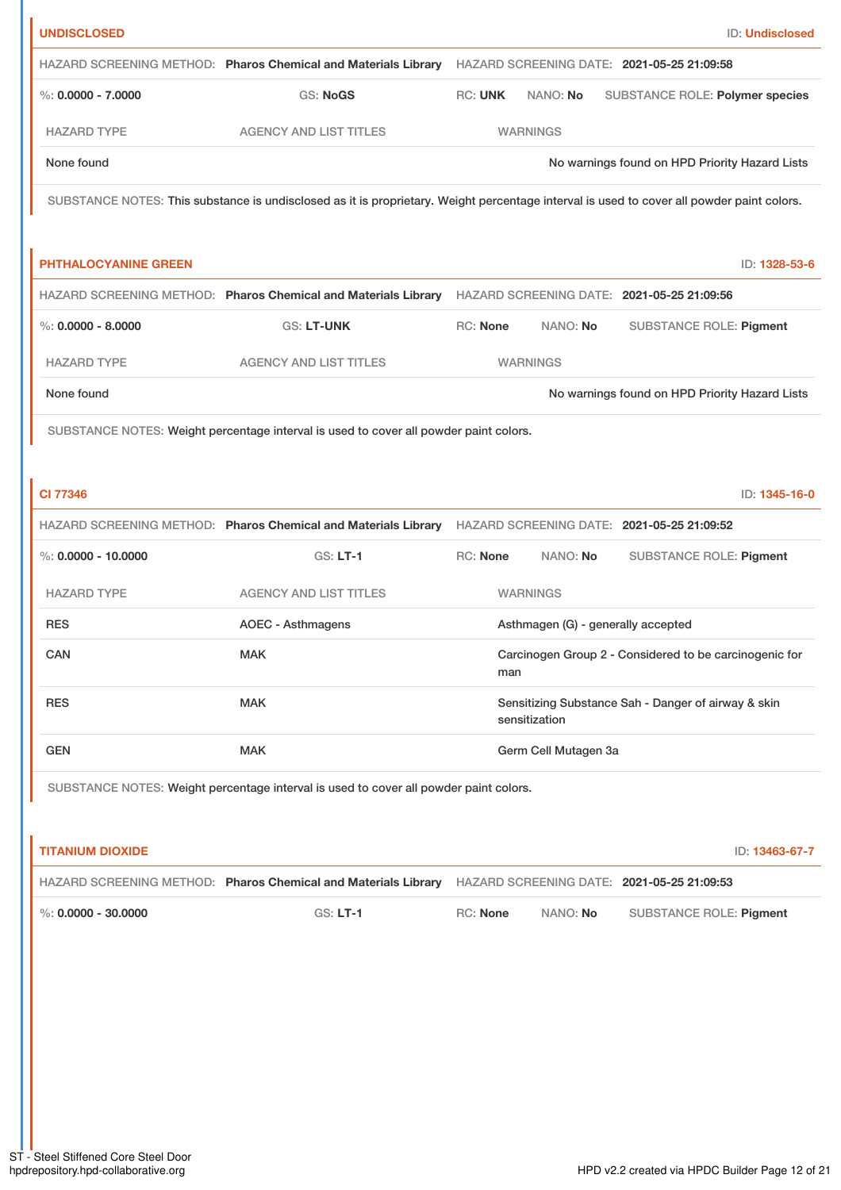| <b>UNDISCLOSED</b>          |                                                                                       | ID: Undisclosed                                                                                                                           |
|-----------------------------|---------------------------------------------------------------------------------------|-------------------------------------------------------------------------------------------------------------------------------------------|
|                             |                                                                                       | HAZARD SCREENING METHOD: Pharos Chemical and Materials Library HAZARD SCREENING DATE: 2021-05-25 21:09:58                                 |
| %: $0.0000 - 7.0000$        | <b>GS: NoGS</b>                                                                       | <b>RC: UNK</b><br>NANO: No<br>SUBSTANCE ROLE: Polymer species                                                                             |
| <b>HAZARD TYPE</b>          | <b>AGENCY AND LIST TITLES</b>                                                         | <b>WARNINGS</b>                                                                                                                           |
| None found                  |                                                                                       | No warnings found on HPD Priority Hazard Lists                                                                                            |
|                             |                                                                                       | SUBSTANCE NOTES: This substance is undisclosed as it is proprietary. Weight percentage interval is used to cover all powder paint colors. |
|                             |                                                                                       |                                                                                                                                           |
| <b>PHTHALOCYANINE GREEN</b> |                                                                                       | ID: 1328-53-6                                                                                                                             |
|                             |                                                                                       | HAZARD SCREENING METHOD: Pharos Chemical and Materials Library HAZARD SCREENING DATE: 2021-05-25 21:09:56                                 |
| $\%$ : 0.0000 - 8.0000      | <b>GS: LT-UNK</b>                                                                     | <b>RC: None</b><br>NANO: No<br><b>SUBSTANCE ROLE: Pigment</b>                                                                             |
| <b>HAZARD TYPE</b>          | <b>AGENCY AND LIST TITLES</b>                                                         | <b>WARNINGS</b>                                                                                                                           |
| None found                  |                                                                                       | No warnings found on HPD Priority Hazard Lists                                                                                            |
|                             | SUBSTANCE NOTES: Weight percentage interval is used to cover all powder paint colors. |                                                                                                                                           |
|                             |                                                                                       |                                                                                                                                           |
| <b>CI 77346</b>             |                                                                                       | ID: 1345-16-0                                                                                                                             |
|                             |                                                                                       | HAZARD SCREENING METHOD: Pharos Chemical and Materials Library HAZARD SCREENING DATE: 2021-05-25 21:09:52                                 |
| $\%$ : 0.0000 - 10.0000     | $GS: LT-1$                                                                            | RC: None<br>SUBSTANCE ROLE: Pigment<br>NANO: No                                                                                           |
| <b>HAZARD TYPE</b>          | <b>AGENCY AND LIST TITLES</b>                                                         | <b>WARNINGS</b>                                                                                                                           |
| <b>RES</b>                  | <b>AOEC - Asthmagens</b>                                                              | Asthmagen (G) - generally accepted                                                                                                        |
| CAN                         | <b>MAK</b>                                                                            | Carcinogen Group 2 - Considered to be carcinogenic for<br>man                                                                             |
| <b>RES</b>                  | <b>MAK</b>                                                                            | Sensitizing Substance Sah - Danger of airway & skin<br>sensitization                                                                      |
| <b>GEN</b>                  | <b>MAK</b>                                                                            | Germ Cell Mutagen 3a                                                                                                                      |
|                             | SUBSTANCE NOTES: Weight percentage interval is used to cover all powder paint colors. |                                                                                                                                           |
|                             |                                                                                       |                                                                                                                                           |
| <b>TITANIUM DIOXIDE</b>     |                                                                                       | ID: 13463-67-7                                                                                                                            |
|                             | HAZARD SCREENING METHOD: Pharos Chemical and Materials Library                        | HAZARD SCREENING DATE: 2021-05-25 21:09:53                                                                                                |
| %: $0.0000 - 30.0000$       | <b>GS: LT-1</b>                                                                       | <b>RC: None</b><br>NANO: No<br><b>SUBSTANCE ROLE: Pigment</b>                                                                             |
|                             |                                                                                       |                                                                                                                                           |
|                             |                                                                                       |                                                                                                                                           |
|                             |                                                                                       |                                                                                                                                           |
|                             |                                                                                       |                                                                                                                                           |
|                             |                                                                                       |                                                                                                                                           |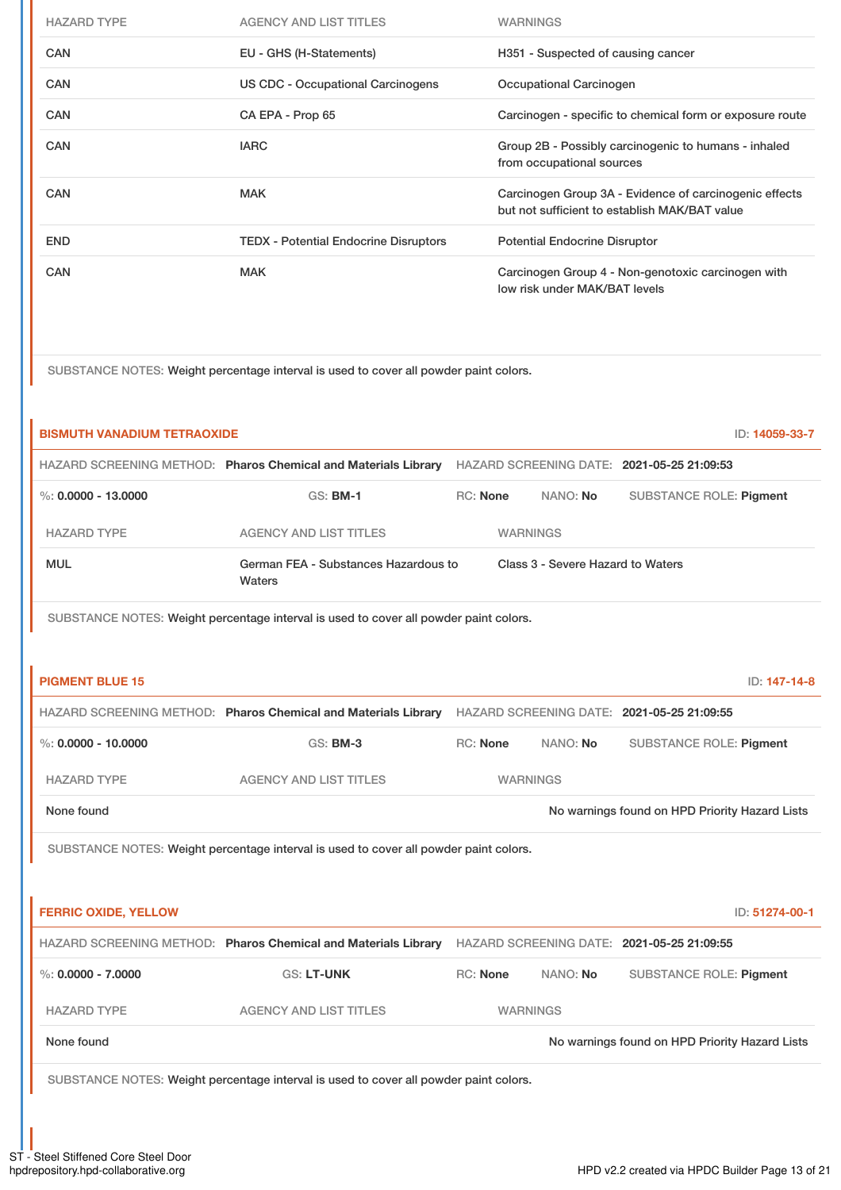| <b>HAZARD TYPE</b> | <b>AGENCY AND LIST TITLES</b>                | <b>WARNINGS</b>                                                                                         |
|--------------------|----------------------------------------------|---------------------------------------------------------------------------------------------------------|
| <b>CAN</b>         | EU - GHS (H-Statements)                      | H351 - Suspected of causing cancer                                                                      |
| <b>CAN</b>         | US CDC - Occupational Carcinogens            | Occupational Carcinogen                                                                                 |
| <b>CAN</b>         | CA EPA - Prop 65                             | Carcinogen - specific to chemical form or exposure route                                                |
| <b>CAN</b>         | <b>IARC</b>                                  | Group 2B - Possibly carcinogenic to humans - inhaled<br>from occupational sources                       |
| <b>CAN</b>         | <b>MAK</b>                                   | Carcinogen Group 3A - Evidence of carcinogenic effects<br>but not sufficient to establish MAK/BAT value |
| <b>END</b>         | <b>TEDX - Potential Endocrine Disruptors</b> | <b>Potential Endocrine Disruptor</b>                                                                    |
| <b>CAN</b>         | <b>MAK</b>                                   | Carcinogen Group 4 - Non-genotoxic carcinogen with<br>low risk under MAK/BAT levels                     |

SUBSTANCE NOTES: Weight percentage interval is used to cover all powder paint colors.

| <b>BISMUTH VANADIUM TETRAOXIDE</b> |                                                                                                           |                 |                                   | ID: 14059-33-7                                 |  |
|------------------------------------|-----------------------------------------------------------------------------------------------------------|-----------------|-----------------------------------|------------------------------------------------|--|
|                                    | HAZARD SCREENING METHOD: Pharos Chemical and Materials Library                                            |                 |                                   | HAZARD SCREENING DATE: 2021-05-25 21:09:53     |  |
| %: $0.0000 - 13.0000$              | <b>GS: BM-1</b>                                                                                           | <b>RC: None</b> | NANO: No                          | <b>SUBSTANCE ROLE: Pigment</b>                 |  |
| <b>HAZARD TYPE</b>                 | <b>AGENCY AND LIST TITLES</b>                                                                             |                 | <b>WARNINGS</b>                   |                                                |  |
| <b>MUL</b>                         | German FEA - Substances Hazardous to<br>Waters                                                            |                 | Class 3 - Severe Hazard to Waters |                                                |  |
|                                    | SUBSTANCE NOTES: Weight percentage interval is used to cover all powder paint colors.                     |                 |                                   |                                                |  |
|                                    |                                                                                                           |                 |                                   |                                                |  |
| <b>PIGMENT BLUE 15</b>             |                                                                                                           |                 |                                   | ID: 147-14-8                                   |  |
|                                    | HAZARD SCREENING METHOD: Pharos Chemical and Materials Library HAZARD SCREENING DATE: 2021-05-25 21:09:55 |                 |                                   |                                                |  |
| %: $0.0000 - 10.0000$              | <b>GS: BM-3</b>                                                                                           | RC: None        | NANO: No                          | <b>SUBSTANCE ROLE: Pigment</b>                 |  |
| <b>HAZARD TYPE</b>                 | <b>AGENCY AND LIST TITLES</b>                                                                             |                 | <b>WARNINGS</b>                   |                                                |  |
| None found                         |                                                                                                           |                 |                                   | No warnings found on HPD Priority Hazard Lists |  |
|                                    | SUBSTANCE NOTES: Weight percentage interval is used to cover all powder paint colors.                     |                 |                                   |                                                |  |
|                                    |                                                                                                           |                 |                                   |                                                |  |
| <b>FERRIC OXIDE, YELLOW</b>        |                                                                                                           |                 |                                   | ID: 51274-00-1                                 |  |
|                                    | HAZARD SCREENING METHOD: Pharos Chemical and Materials Library HAZARD SCREENING DATE: 2021-05-25 21:09:55 |                 |                                   |                                                |  |
| $\%$ : 0.0000 - 7.0000             | <b>GS: LT-UNK</b>                                                                                         | <b>RC: None</b> | NANO: No                          | <b>SUBSTANCE ROLE: Pigment</b>                 |  |
| <b>HAZARD TYPE</b>                 | <b>AGENCY AND LIST TITLES</b>                                                                             |                 | <b>WARNINGS</b>                   |                                                |  |
| None found                         |                                                                                                           |                 |                                   | No warnings found on HPD Priority Hazard Lists |  |
|                                    | SUBSTANCE NOTES: Weight percentage interval is used to cover all powder paint colors.                     |                 |                                   |                                                |  |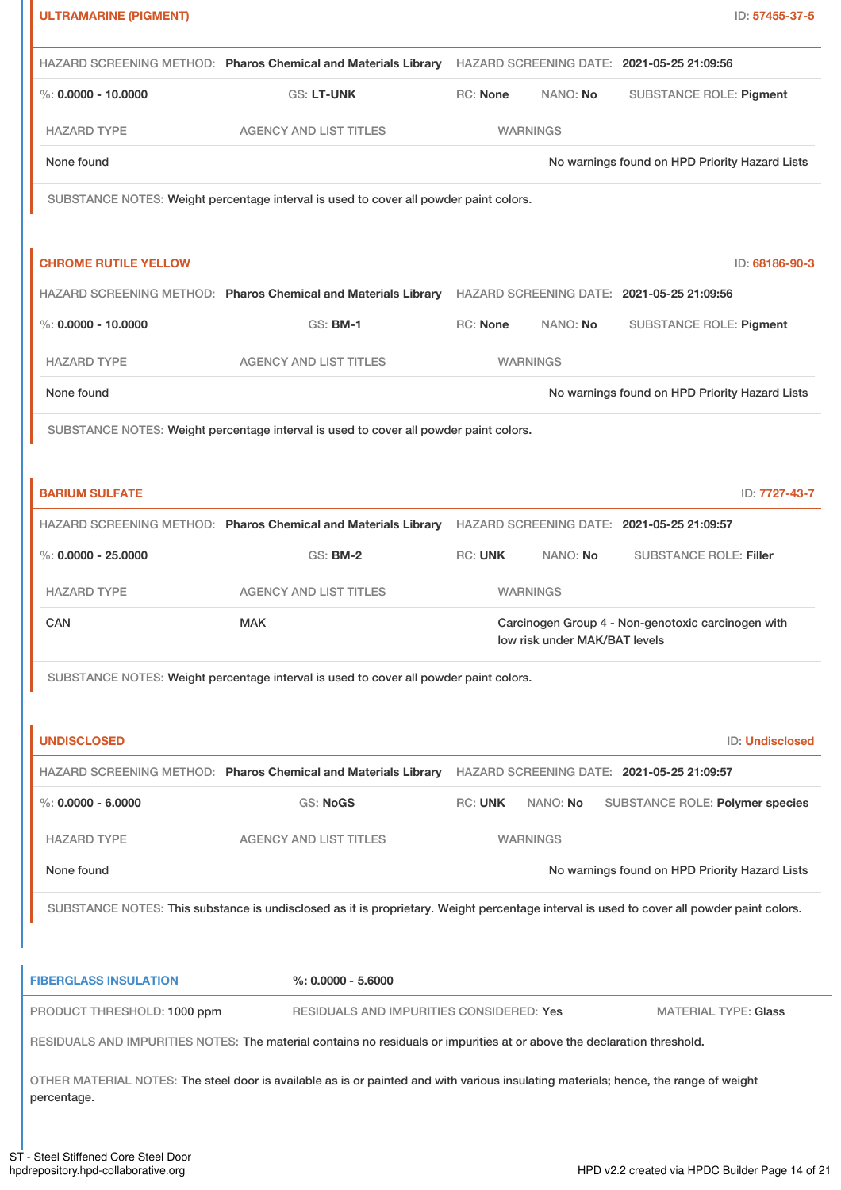| <b>ULTRAMARINE (PIGMENT)</b> |                                                                                                                                           |                 |                               | ID: 57455-37-5                                               |
|------------------------------|-------------------------------------------------------------------------------------------------------------------------------------------|-----------------|-------------------------------|--------------------------------------------------------------|
|                              | HAZARD SCREENING METHOD: Pharos Chemical and Materials Library                                                                            |                 |                               | HAZARD SCREENING DATE: 2021-05-25 21:09:56                   |
| $\%$ : 0.0000 - 10.0000      | <b>GS: LT-UNK</b>                                                                                                                         | <b>RC: None</b> | NANO: No                      | <b>SUBSTANCE ROLE: Pigment</b>                               |
| <b>HAZARD TYPE</b>           | <b>AGENCY AND LIST TITLES</b>                                                                                                             |                 | <b>WARNINGS</b>               |                                                              |
| None found                   |                                                                                                                                           |                 |                               | No warnings found on HPD Priority Hazard Lists               |
|                              | SUBSTANCE NOTES: Weight percentage interval is used to cover all powder paint colors.                                                     |                 |                               |                                                              |
| <b>CHROME RUTILE YELLOW</b>  |                                                                                                                                           |                 |                               |                                                              |
|                              | HAZARD SCREENING METHOD: Pharos Chemical and Materials Library                                                                            |                 |                               | ID: 68186-90-3<br>HAZARD SCREENING DATE: 2021-05-25 21:09:56 |
| $\%$ : 0.0000 - 10.0000      | <b>GS: BM-1</b>                                                                                                                           | <b>RC: None</b> | NANO: No                      | <b>SUBSTANCE ROLE: Pigment</b>                               |
|                              |                                                                                                                                           |                 |                               |                                                              |
| <b>HAZARD TYPE</b>           | <b>AGENCY AND LIST TITLES</b>                                                                                                             |                 | <b>WARNINGS</b>               |                                                              |
| None found                   |                                                                                                                                           |                 |                               | No warnings found on HPD Priority Hazard Lists               |
|                              | SUBSTANCE NOTES: Weight percentage interval is used to cover all powder paint colors.                                                     |                 |                               |                                                              |
|                              |                                                                                                                                           |                 |                               |                                                              |
| <b>BARIUM SULFATE</b>        |                                                                                                                                           |                 |                               | ID: 7727-43-7                                                |
|                              | HAZARD SCREENING METHOD: Pharos Chemical and Materials Library HAZARD SCREENING DATE: 2021-05-25 21:09:57                                 |                 |                               |                                                              |
| $\%$ : 0.0000 - 25.0000      | <b>GS: BM-2</b>                                                                                                                           | <b>RC: UNK</b>  | NANO: No                      | <b>SUBSTANCE ROLE: Filler</b>                                |
| <b>HAZARD TYPE</b>           | <b>AGENCY AND LIST TITLES</b>                                                                                                             |                 | <b>WARNINGS</b>               |                                                              |
| CAN                          | <b>MAK</b>                                                                                                                                |                 | low risk under MAK/BAT levels | Carcinogen Group 4 - Non-genotoxic carcinogen with           |
|                              | SUBSTANCE NOTES: Weight percentage interval is used to cover all powder paint colors.                                                     |                 |                               |                                                              |
| <b>UNDISCLOSED</b>           |                                                                                                                                           |                 |                               | ID: Undisclosed                                              |
|                              | HAZARD SCREENING METHOD: Pharos Chemical and Materials Library                                                                            |                 |                               | HAZARD SCREENING DATE: 2021-05-25 21:09:57                   |
| %: $0.0000 - 6.0000$         | GS: NoGS                                                                                                                                  | <b>RC: UNK</b>  | NANO: No                      | <b>SUBSTANCE ROLE: Polymer species</b>                       |
| <b>HAZARD TYPE</b>           | <b>AGENCY AND LIST TITLES</b>                                                                                                             |                 | <b>WARNINGS</b>               |                                                              |
| None found                   |                                                                                                                                           |                 |                               | No warnings found on HPD Priority Hazard Lists               |
|                              | SUBSTANCE NOTES: This substance is undisclosed as it is proprietary. Weight percentage interval is used to cover all powder paint colors. |                 |                               |                                                              |
|                              |                                                                                                                                           |                 |                               |                                                              |
|                              |                                                                                                                                           |                 |                               |                                                              |
| <b>FIBERGLASS INSULATION</b> | $\%: 0.0000 - 5.6000$                                                                                                                     |                 |                               |                                                              |
| PRODUCT THRESHOLD: 1000 ppm  | RESIDUALS AND IMPURITIES CONSIDERED: Yes                                                                                                  |                 |                               | <b>MATERIAL TYPE: Glass</b>                                  |
|                              | RESIDUALS AND IMPURITIES NOTES: The material contains no residuals or impurities at or above the declaration threshold.                   |                 |                               |                                                              |
| percentage.                  | OTHER MATERIAL NOTES: The steel door is available as is or painted and with various insulating materials; hence, the range of weight      |                 |                               |                                                              |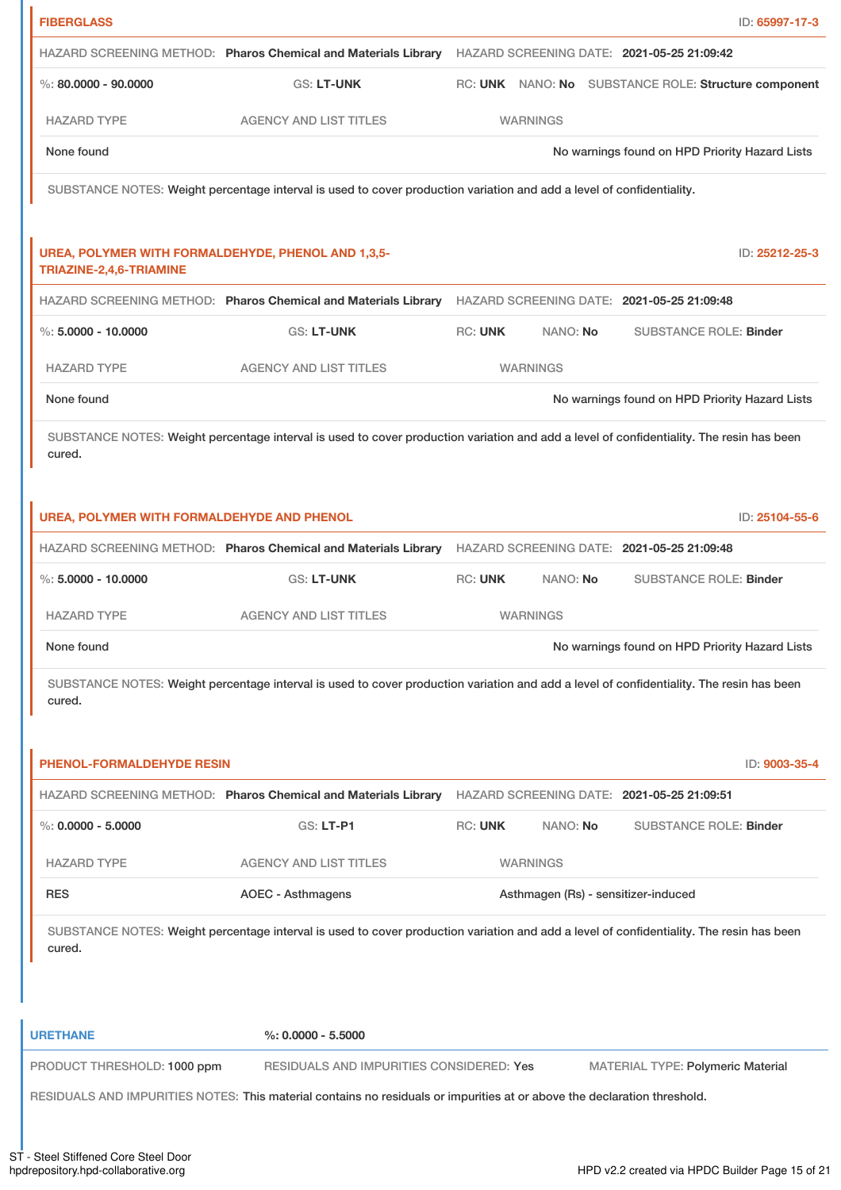| <b>FIBERGLASS</b>                                                             |                                                                                                                                          |                 |          |                                                      | ID: 65997-17-3 |
|-------------------------------------------------------------------------------|------------------------------------------------------------------------------------------------------------------------------------------|-----------------|----------|------------------------------------------------------|----------------|
|                                                                               | HAZARD SCREENING METHOD: Pharos Chemical and Materials Library HAZARD SCREENING DATE: 2021-05-25 21:09:42                                |                 |          |                                                      |                |
| $\%$ : 80.0000 - 90.0000                                                      | <b>GS: LT-UNK</b>                                                                                                                        |                 |          | RC: UNK NANO: No SUBSTANCE ROLE: Structure component |                |
| <b>HAZARD TYPE</b>                                                            | <b>AGENCY AND LIST TITLES</b>                                                                                                            | <b>WARNINGS</b> |          |                                                      |                |
| None found                                                                    |                                                                                                                                          |                 |          | No warnings found on HPD Priority Hazard Lists       |                |
|                                                                               | SUBSTANCE NOTES: Weight percentage interval is used to cover production variation and add a level of confidentiality.                    |                 |          |                                                      |                |
|                                                                               |                                                                                                                                          |                 |          |                                                      |                |
| UREA, POLYMER WITH FORMALDEHYDE, PHENOL AND 1,3,5-<br>TRIAZINE-2,4,6-TRIAMINE |                                                                                                                                          |                 |          |                                                      | ID: 25212-25-3 |
|                                                                               | HAZARD SCREENING METHOD: Pharos Chemical and Materials Library HAZARD SCREENING DATE: 2021-05-25 21:09:48                                |                 |          |                                                      |                |
| $\%$ : 5,0000 - 10,0000                                                       | <b>GS: LT-UNK</b>                                                                                                                        | <b>RC: UNK</b>  | NANO: No | <b>SUBSTANCE ROLE: Binder</b>                        |                |
| <b>HAZARD TYPE</b>                                                            | <b>AGENCY AND LIST TITLES</b>                                                                                                            | <b>WARNINGS</b> |          |                                                      |                |
| None found                                                                    |                                                                                                                                          |                 |          | No warnings found on HPD Priority Hazard Lists       |                |
|                                                                               | SUBSTANCE NOTES: Weight percentage interval is used to cover production variation and add a level of confidentiality. The resin has been |                 |          |                                                      |                |
| cured.                                                                        |                                                                                                                                          |                 |          |                                                      |                |
|                                                                               |                                                                                                                                          |                 |          |                                                      |                |
| UREA, POLYMER WITH FORMALDEHYDE AND PHENOL                                    |                                                                                                                                          |                 |          |                                                      | ID: 25104-55-6 |
|                                                                               | HAZARD SCREENING METHOD: Pharos Chemical and Materials Library HAZARD SCREENING DATE: 2021-05-25 21:09:48                                |                 |          |                                                      |                |
| $\%$ : 5,0000 - 10,0000                                                       | <b>GS: LT-UNK</b>                                                                                                                        | <b>RC: UNK</b>  | NANO: No | <b>SUBSTANCE ROLE: Binder</b>                        |                |
| <b>HAZARD TYPE</b>                                                            | <b>AGENCY AND LIST TITLES</b>                                                                                                            | <b>WARNINGS</b> |          |                                                      |                |
| None found                                                                    |                                                                                                                                          |                 |          | No warnings found on HPD Priority Hazard Lists       |                |
|                                                                               | SUBSTANCE NOTES: Weight percentage interval is used to cover production variation and add a level of confidentiality. The resin has been |                 |          |                                                      |                |
| cured.                                                                        |                                                                                                                                          |                 |          |                                                      |                |
|                                                                               |                                                                                                                                          |                 |          |                                                      |                |
| <b>PHENOL-FORMALDEHYDE RESIN</b>                                              |                                                                                                                                          |                 |          |                                                      |                |
|                                                                               | HAZARD SCREENING METHOD: Pharos Chemical and Materials Library                                                                           |                 |          | HAZARD SCREENING DATE: 2021-05-25 21:09:51           |                |
|                                                                               | GS: LT-P1                                                                                                                                | <b>RC: UNK</b>  | NANO: No | <b>SUBSTANCE ROLE: Binder</b>                        |                |
| <b>HAZARD TYPE</b>                                                            | <b>AGENCY AND LIST TITLES</b>                                                                                                            | <b>WARNINGS</b> |          |                                                      |                |
| $\%$ : 0.0000 - 5.0000<br><b>RES</b>                                          | <b>AOEC - Asthmagens</b>                                                                                                                 |                 |          | Asthmagen (Rs) - sensitizer-induced                  |                |
| cured.                                                                        | SUBSTANCE NOTES: Weight percentage interval is used to cover production variation and add a level of confidentiality. The resin has been |                 |          |                                                      |                |
|                                                                               |                                                                                                                                          |                 |          |                                                      | ID: 9003-35-4  |
|                                                                               |                                                                                                                                          |                 |          |                                                      |                |
|                                                                               | $%: 0.0000 - 5.5000$                                                                                                                     |                 |          |                                                      |                |
| <b>URETHANE</b><br>PRODUCT THRESHOLD: 1000 ppm                                | RESIDUALS AND IMPURITIES CONSIDERED: Yes                                                                                                 |                 |          | <b>MATERIAL TYPE: Polymeric Material</b>             |                |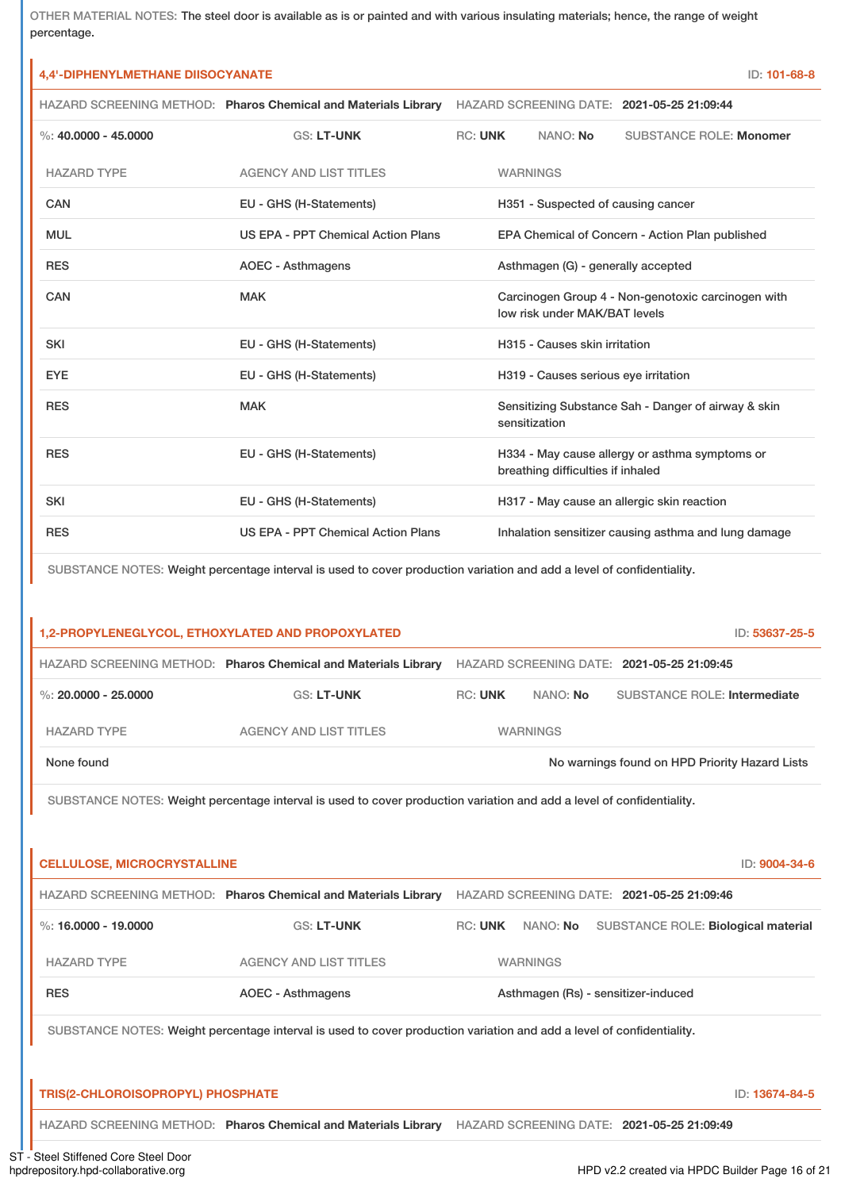OTHER MATERIAL NOTES: The steel door is available as is or painted and with various insulating materials; hence, the range of weight percentage.

# **4,4'-DIPHENYLMETHANE DIISOCYANATE** ID: **101-68-8**

|                          | HAZARD SCREENING METHOD: Pharos Chemical and Materials Library |                |                 |                                      | HAZARD SCREENING DATE: 2021-05-25 21:09:44           |
|--------------------------|----------------------------------------------------------------|----------------|-----------------|--------------------------------------|------------------------------------------------------|
| $\%$ : 40,0000 - 45,0000 | <b>GS: LT-UNK</b>                                              | <b>RC: UNK</b> |                 | NANO: No                             | <b>SUBSTANCE ROLE: Monomer</b>                       |
| <b>HAZARD TYPE</b>       | <b>AGENCY AND LIST TITLES</b>                                  |                | <b>WARNINGS</b> |                                      |                                                      |
| <b>CAN</b>               | EU - GHS (H-Statements)                                        |                |                 | H351 - Suspected of causing cancer   |                                                      |
| <b>MUL</b>               | US EPA - PPT Chemical Action Plans                             |                |                 |                                      | EPA Chemical of Concern - Action Plan published      |
| <b>RES</b>               | <b>AOEC - Asthmagens</b>                                       |                |                 | Asthmagen (G) - generally accepted   |                                                      |
| <b>CAN</b>               | <b>MAK</b>                                                     |                |                 | low risk under MAK/BAT levels        | Carcinogen Group 4 - Non-genotoxic carcinogen with   |
| <b>SKI</b>               | EU - GHS (H-Statements)                                        |                |                 | H315 - Causes skin irritation        |                                                      |
| <b>EYE</b>               | EU - GHS (H-Statements)                                        |                |                 | H319 - Causes serious eye irritation |                                                      |
| <b>RES</b>               | <b>MAK</b>                                                     |                |                 | sensitization                        | Sensitizing Substance Sah - Danger of airway & skin  |
| <b>RES</b>               | EU - GHS (H-Statements)                                        |                |                 | breathing difficulties if inhaled    | H334 - May cause allergy or asthma symptoms or       |
| <b>SKI</b>               | EU - GHS (H-Statements)                                        |                |                 |                                      | H317 - May cause an allergic skin reaction           |
| <b>RES</b>               | US EPA - PPT Chemical Action Plans                             |                |                 |                                      | Inhalation sensitizer causing asthma and lung damage |

SUBSTANCE NOTES: Weight percentage interval is used to cover production variation and add a level of confidentiality.

| 1,2-PROPYLENEGLYCOL, ETHOXYLATED AND PROPOXYLATED<br>ID: 53637-25-5 |                                                                |         |                 |                                            |
|---------------------------------------------------------------------|----------------------------------------------------------------|---------|-----------------|--------------------------------------------|
|                                                                     | HAZARD SCREENING METHOD: Pharos Chemical and Materials Library |         |                 | HAZARD SCREENING DATE: 2021-05-25 21:09:45 |
| %: 20,0000 - 25,0000                                                | <b>GS: LT-UNK</b>                                              | RC: UNK | NANO: No        | <b>SUBSTANCE ROLE: Intermediate</b>        |
| HAZARD TYPE                                                         | AGENCY AND LIST TITLES                                         |         | <b>WARNINGS</b> |                                            |
| None found<br>No warnings found on HPD Priority Hazard Lists        |                                                                |         |                 |                                            |
|                                                                     |                                                                |         |                 |                                            |

SUBSTANCE NOTES: Weight percentage interval is used to cover production variation and add a level of confidentiality.

| <b>CELLULOSE, MICROCRYSTALLINE</b> |                                                                                                                       |                |                 | ID: 9004-34-6                              |
|------------------------------------|-----------------------------------------------------------------------------------------------------------------------|----------------|-----------------|--------------------------------------------|
|                                    | HAZARD SCREENING METHOD: Pharos Chemical and Materials Library                                                        |                |                 | HAZARD SCREENING DATE: 2021-05-25 21:09:46 |
| %: 16,0000 - 19,0000               | <b>GS: LT-UNK</b>                                                                                                     | <b>RC: UNK</b> | NANO: No        | SUBSTANCE ROLE: Biological material        |
| <b>HAZARD TYPE</b>                 | <b>AGENCY AND LIST TITLES</b>                                                                                         |                | <b>WARNINGS</b> |                                            |
| <b>RES</b>                         | <b>AOEC - Asthmagens</b>                                                                                              |                |                 | Asthmagen (Rs) - sensitizer-induced        |
|                                    | SUBSTANCE NOTES: Weight percentage interval is used to cover production variation and add a level of confidentiality. |                |                 |                                            |
|                                    |                                                                                                                       |                |                 |                                            |
| TRIS(2-CHLOROISOPROPYL) PHOSPHATE  |                                                                                                                       |                |                 | ID: 13674-84-5                             |
|                                    |                                                                                                                       |                |                 |                                            |

HAZARD SCREENING METHOD: **Pharos Chemical and Materials Library** HAZARD SCREENING DATE: **2021-05-25 21:09:49**

ST - Steel Stiffened Core Steel Door<br>hpdrepository.hpd-collaborative.org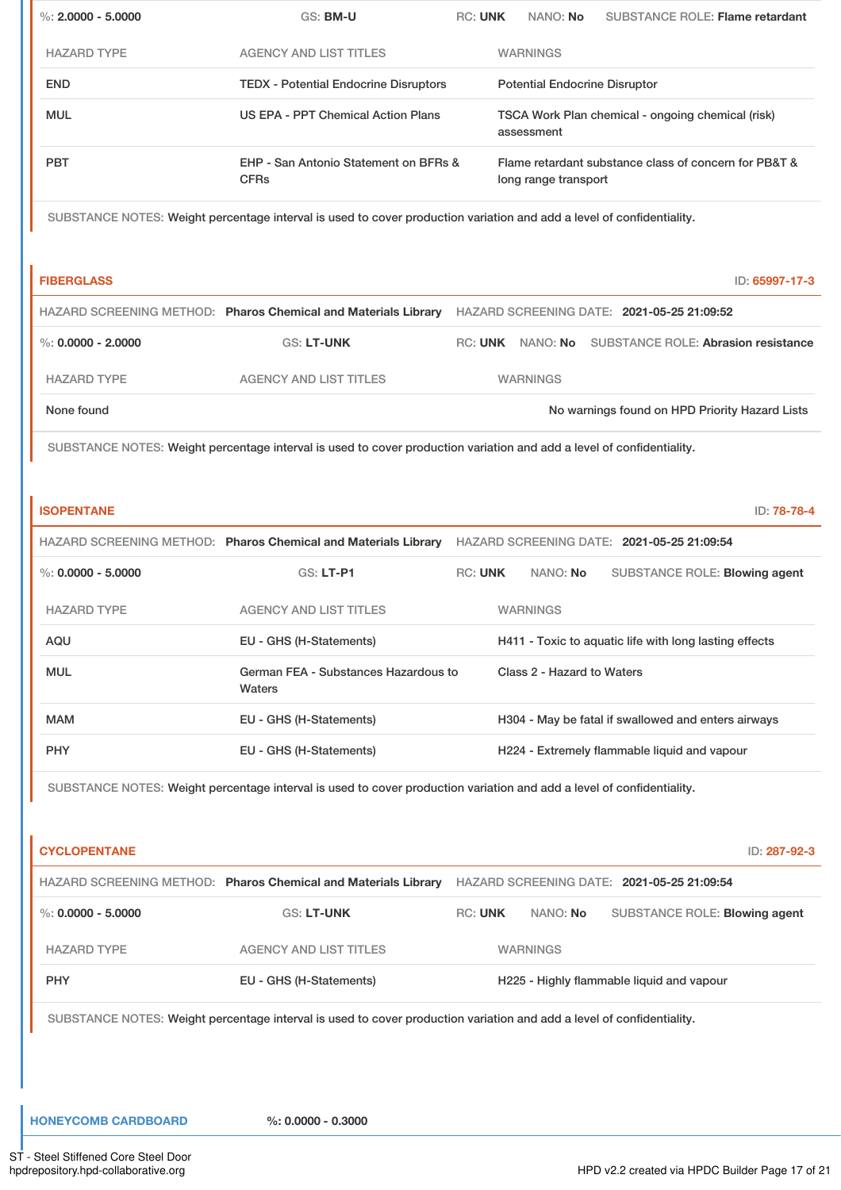| $\%$ : 2.0000 - 5.0000 | GS: BM-U                                                                                                              | <b>RC: UNK</b> | NANO: No                             | <b>SUBSTANCE ROLE: Flame retardant</b>                 |
|------------------------|-----------------------------------------------------------------------------------------------------------------------|----------------|--------------------------------------|--------------------------------------------------------|
| <b>HAZARD TYPE</b>     | <b>AGENCY AND LIST TITLES</b>                                                                                         |                | <b>WARNINGS</b>                      |                                                        |
| <b>END</b>             | <b>TEDX - Potential Endocrine Disruptors</b>                                                                          |                | <b>Potential Endocrine Disruptor</b> |                                                        |
| <b>MUL</b>             | US EPA - PPT Chemical Action Plans                                                                                    |                | assessment                           | TSCA Work Plan chemical - ongoing chemical (risk)      |
| <b>PBT</b>             | EHP - San Antonio Statement on BFRs &<br><b>CFRs</b>                                                                  |                | long range transport                 | Flame retardant substance class of concern for PB&T &  |
|                        | SUBSTANCE NOTES: Weight percentage interval is used to cover production variation and add a level of confidentiality. |                |                                      |                                                        |
| <b>FIBERGLASS</b>      |                                                                                                                       |                |                                      | ID: 65997-17-3                                         |
|                        | HAZARD SCREENING METHOD: Pharos Chemical and Materials Library                                                        |                |                                      | HAZARD SCREENING DATE: 2021-05-25 21:09:52             |
| $\%$ : 0.0000 - 2.0000 | <b>GS: LT-UNK</b>                                                                                                     |                |                                      | RC: UNK NANO: No SUBSTANCE ROLE: Abrasion resistance   |
| <b>HAZARD TYPE</b>     | <b>AGENCY AND LIST TITLES</b>                                                                                         |                | <b>WARNINGS</b>                      |                                                        |
| None found             |                                                                                                                       |                |                                      | No warnings found on HPD Priority Hazard Lists         |
|                        |                                                                                                                       |                |                                      |                                                        |
| <b>ISOPENTANE</b>      |                                                                                                                       |                |                                      | ID: 78-78-4                                            |
|                        | HAZARD SCREENING METHOD: Pharos Chemical and Materials Library HAZARD SCREENING DATE: 2021-05-25 21:09:54             |                |                                      |                                                        |
| $\%: 0.0000 - 5.0000$  | GS: LT-P1                                                                                                             | <b>RC: UNK</b> | NANO: No                             | SUBSTANCE ROLE: Blowing agent                          |
| <b>HAZARD TYPE</b>     | <b>AGENCY AND LIST TITLES</b>                                                                                         |                | <b>WARNINGS</b>                      |                                                        |
| AQU<br><b>MUL</b>      | EU - GHS (H-Statements)<br>German FEA - Substances Hazardous to<br>Waters                                             |                | Class 2 - Hazard to Waters           | H411 - Toxic to aquatic life with long lasting effects |
| <b>MAM</b>             | EU - GHS (H-Statements)                                                                                               |                |                                      | H304 - May be fatal if swallowed and enters airways    |
| <b>PHY</b>             | EU - GHS (H-Statements)                                                                                               |                |                                      | H224 - Extremely flammable liquid and vapour           |
|                        | SUBSTANCE NOTES: Weight percentage interval is used to cover production variation and add a level of confidentiality. |                |                                      |                                                        |
| <b>CYCLOPENTANE</b>    |                                                                                                                       |                |                                      | ID: 287-92-3                                           |
|                        | HAZARD SCREENING METHOD: Pharos Chemical and Materials Library HAZARD SCREENING DATE: 2021-05-25 21:09:54             |                |                                      |                                                        |
| %: $0.0000 - 5.0000$   | GS: LT-UNK                                                                                                            | <b>RC: UNK</b> | NANO: No                             | SUBSTANCE ROLE: Blowing agent                          |
| <b>HAZARD TYPE</b>     | <b>AGENCY AND LIST TITLES</b>                                                                                         |                | <b>WARNINGS</b>                      |                                                        |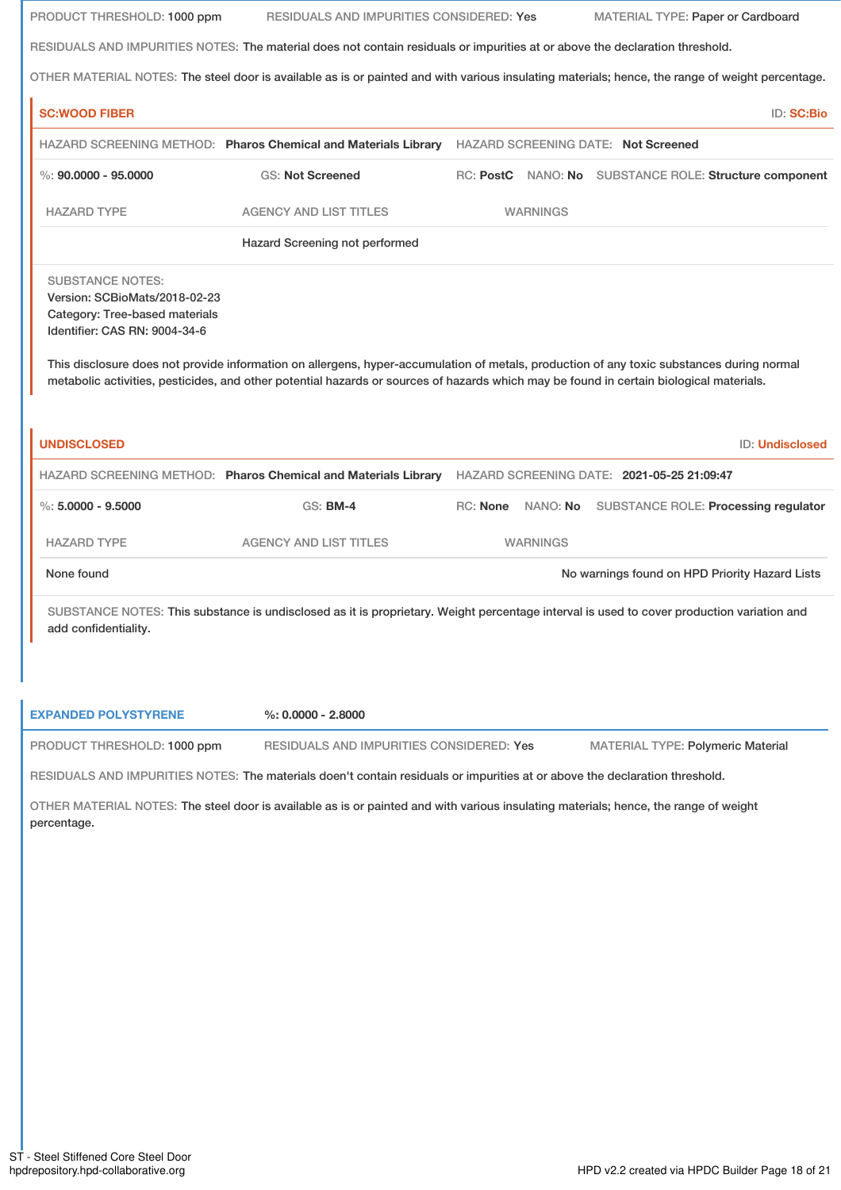| PRODUCT THRESHOLD: 1000 ppm                                                                                                 | RESIDUALS AND IMPURITIES CONSIDERED: Yes                                                                                                                                                                                                                                             |          |                 | MATERIAL TYPE: Paper or Cardboard |                                                        |
|-----------------------------------------------------------------------------------------------------------------------------|--------------------------------------------------------------------------------------------------------------------------------------------------------------------------------------------------------------------------------------------------------------------------------------|----------|-----------------|-----------------------------------|--------------------------------------------------------|
|                                                                                                                             | RESIDUALS AND IMPURITIES NOTES: The material does not contain residuals or impurities at or above the declaration threshold.                                                                                                                                                         |          |                 |                                   |                                                        |
|                                                                                                                             | OTHER MATERIAL NOTES: The steel door is available as is or painted and with various insulating materials; hence, the range of weight percentage.                                                                                                                                     |          |                 |                                   |                                                        |
| <b>SC:WOOD FIBER</b>                                                                                                        |                                                                                                                                                                                                                                                                                      |          |                 |                                   | <b>ID: SC:Bio</b>                                      |
|                                                                                                                             | HAZARD SCREENING METHOD: Pharos Chemical and Materials Library HAZARD SCREENING DATE: Not Screened                                                                                                                                                                                   |          |                 |                                   |                                                        |
| %: $90.0000 - 95.0000$                                                                                                      | <b>GS: Not Screened</b>                                                                                                                                                                                                                                                              |          |                 |                                   | RC: PostC NANO: No SUBSTANCE ROLE: Structure component |
| <b>HAZARD TYPE</b>                                                                                                          | <b>AGENCY AND LIST TITLES</b>                                                                                                                                                                                                                                                        |          | <b>WARNINGS</b> |                                   |                                                        |
|                                                                                                                             | Hazard Screening not performed                                                                                                                                                                                                                                                       |          |                 |                                   |                                                        |
| <b>SUBSTANCE NOTES:</b><br>Version: SCBioMats/2018-02-23<br>Category: Tree-based materials<br>Identifier: CAS RN: 9004-34-6 |                                                                                                                                                                                                                                                                                      |          |                 |                                   |                                                        |
| <b>UNDISCLOSED</b>                                                                                                          | This disclosure does not provide information on allergens, hyper-accumulation of metals, production of any toxic substances during normal<br>metabolic activities, pesticides, and other potential hazards or sources of hazards which may be found in certain biological materials. |          |                 |                                   | ID: Undisclosed                                        |
|                                                                                                                             | HAZARD SCREENING METHOD: Pharos Chemical and Materials Library HAZARD SCREENING DATE: 2021-05-25 21:09:47                                                                                                                                                                            |          |                 |                                   |                                                        |
| $\%$ : 5,0000 - 9,5000                                                                                                      | <b>GS: BM-4</b>                                                                                                                                                                                                                                                                      | RC: None | NANO: No        |                                   | SUBSTANCE ROLE: Processing regulator                   |
| <b>HAZARD TYPE</b>                                                                                                          | <b>AGENCY AND LIST TITLES</b>                                                                                                                                                                                                                                                        |          | <b>WARNINGS</b> |                                   |                                                        |
| None found                                                                                                                  |                                                                                                                                                                                                                                                                                      |          |                 |                                   | No warnings found on HPD Priority Hazard Lists         |
| add confidentiality.                                                                                                        | SUBSTANCE NOTES: This substance is undisclosed as it is proprietary. Weight percentage interval is used to cover production variation and                                                                                                                                            |          |                 |                                   |                                                        |
| <b>EXPANDED POLYSTYRENE</b>                                                                                                 | $%: 0.0000 - 2.8000$                                                                                                                                                                                                                                                                 |          |                 |                                   |                                                        |

RESIDUALS AND IMPURITIES NOTES: The materials doen't contain residuals or impurities at or above the declaration threshold.

OTHER MATERIAL NOTES: The steel door is available as is or painted and with various insulating materials; hence, the range of weight percentage.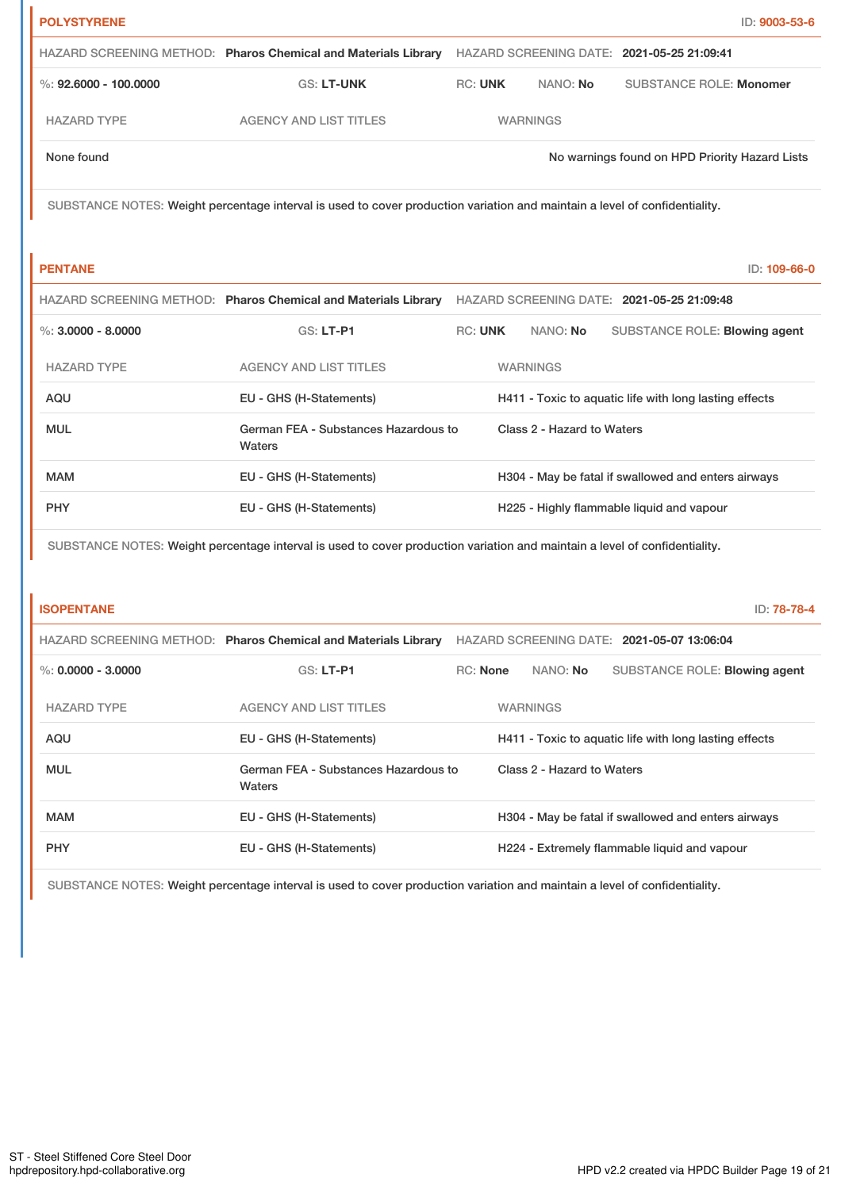| <b>POLYSTYRENE</b>      |                                                                                                                            |                |                 |                            |                                                        | ID: 9003-53-6 |
|-------------------------|----------------------------------------------------------------------------------------------------------------------------|----------------|-----------------|----------------------------|--------------------------------------------------------|---------------|
|                         | HAZARD SCREENING METHOD: Pharos Chemical and Materials Library                                                             |                |                 |                            | HAZARD SCREENING DATE: 2021-05-25 21:09:41             |               |
| %: $92,6000 - 100,0000$ | GS: LT-UNK                                                                                                                 | <b>RC: UNK</b> |                 | NANO: No                   | <b>SUBSTANCE ROLE: Monomer</b>                         |               |
| <b>HAZARD TYPE</b>      | <b>AGENCY AND LIST TITLES</b>                                                                                              |                | <b>WARNINGS</b> |                            |                                                        |               |
| None found              |                                                                                                                            |                |                 |                            | No warnings found on HPD Priority Hazard Lists         |               |
|                         | SUBSTANCE NOTES: Weight percentage interval is used to cover production variation and maintain a level of confidentiality. |                |                 |                            |                                                        |               |
|                         |                                                                                                                            |                |                 |                            |                                                        |               |
| <b>PENTANE</b>          |                                                                                                                            |                |                 |                            |                                                        | ID: 109-66-0  |
|                         | HAZARD SCREENING METHOD: Pharos Chemical and Materials Library                                                             |                |                 |                            | HAZARD SCREENING DATE: 2021-05-25 21:09:48             |               |
| $\%$ : 3,0000 - 8,0000  | <b>GS: LT-P1</b>                                                                                                           | <b>RC: UNK</b> |                 | NANO: No                   | SUBSTANCE ROLE: Blowing agent                          |               |
| <b>HAZARD TYPE</b>      | <b>AGENCY AND LIST TITLES</b>                                                                                              |                |                 | <b>WARNINGS</b>            |                                                        |               |
| <b>AQU</b>              | EU - GHS (H-Statements)                                                                                                    |                |                 |                            | H411 - Toxic to aquatic life with long lasting effects |               |
| <b>MUL</b>              | German FEA - Substances Hazardous to<br>Waters                                                                             |                |                 | Class 2 - Hazard to Waters |                                                        |               |
| <b>MAM</b>              | EU - GHS (H-Statements)                                                                                                    |                |                 |                            | H304 - May be fatal if swallowed and enters airways    |               |
| <b>PHY</b>              | EU - GHS (H-Statements)                                                                                                    |                |                 |                            | H225 - Highly flammable liquid and vapour              |               |
|                         | SUBSTANCE NOTES: Weight percentage interval is used to cover production variation and maintain a level of confidentiality. |                |                 |                            |                                                        |               |
|                         |                                                                                                                            |                |                 |                            |                                                        |               |
| <b>ISOPENTANE</b>       |                                                                                                                            |                |                 |                            |                                                        | ID: 78-78-4   |

|                      | HAZARD SCREENING METHOD: Pharos Chemical and Materials Library | HAZARD SCREENING DATE: 2021-05-07 13:06:04 |  |                            |                                                        |
|----------------------|----------------------------------------------------------------|--------------------------------------------|--|----------------------------|--------------------------------------------------------|
| %: $0.0000 - 3.0000$ | $GS: LT-PI$                                                    | <b>RC:</b> None                            |  | NANO: No                   | SUBSTANCE ROLE: Blowing agent                          |
| <b>HAZARD TYPE</b>   | AGENCY AND LIST TITLES                                         |                                            |  | <b>WARNINGS</b>            |                                                        |
| AQU                  | EU - GHS (H-Statements)                                        |                                            |  |                            | H411 - Toxic to aquatic life with long lasting effects |
| <b>MUL</b>           | German FEA - Substances Hazardous to<br>Waters                 |                                            |  | Class 2 - Hazard to Waters |                                                        |
| <b>MAM</b>           | EU - GHS (H-Statements)                                        |                                            |  |                            | H304 - May be fatal if swallowed and enters airways    |
| <b>PHY</b>           | EU - GHS (H-Statements)                                        |                                            |  |                            | H224 - Extremely flammable liquid and vapour           |

SUBSTANCE NOTES: Weight percentage interval is used to cover production variation and maintain a level of confidentiality.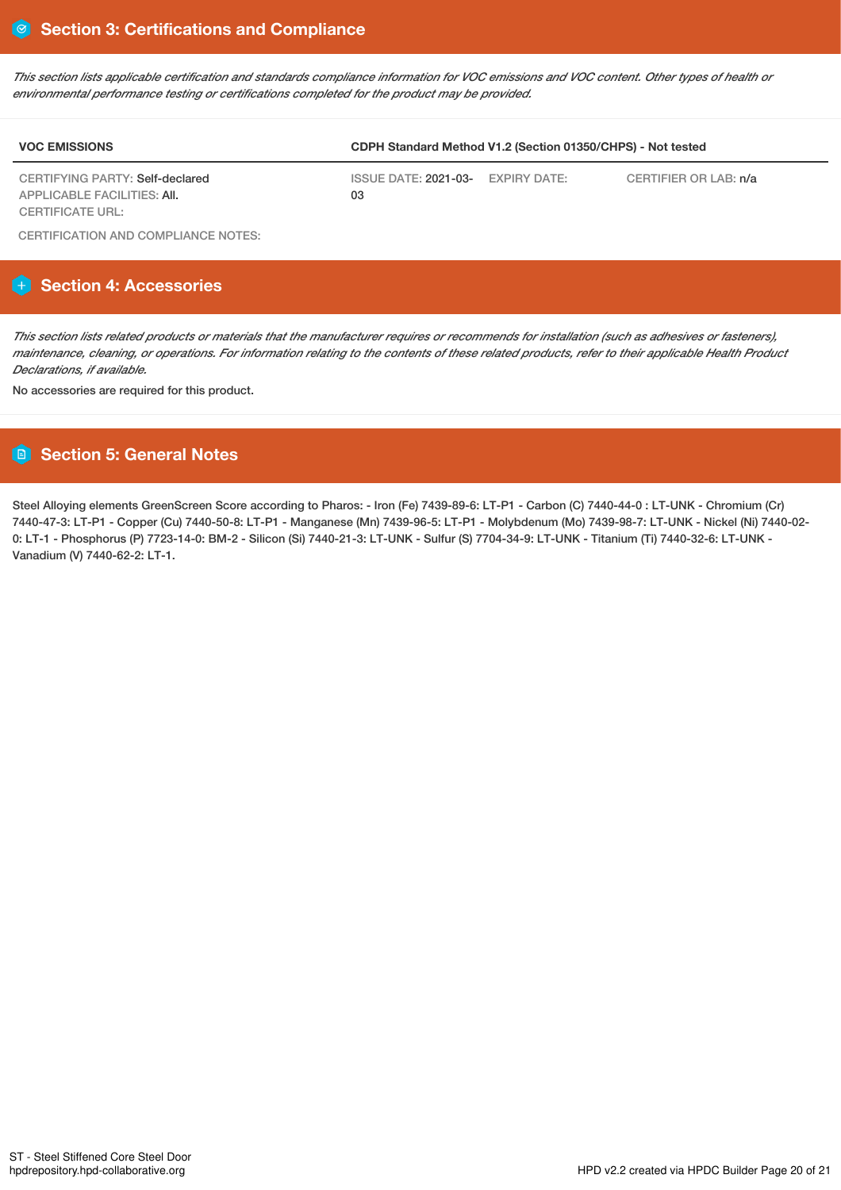This section lists applicable certification and standards compliance information for VOC emissions and VOC content. Other types of health or *environmental performance testing or certifications completed for the product may be provided.*

| <b>VOC EMISSIONS</b>                                                  | CDPH Standard Method V1.2 (Section 01350/CHPS) - Not tested |  |                       |
|-----------------------------------------------------------------------|-------------------------------------------------------------|--|-----------------------|
| CERTIFYING PARTY: Self-declared<br><b>APPLICABLE FACILITIES: AII.</b> | ISSUE DATE: 2021-03- EXPIRY DATE:<br>03                     |  | CERTIFIER OR LAB: n/a |
| <b>CERTIFICATE URL:</b>                                               |                                                             |  |                       |

CERTIFICATION AND COMPLIANCE NOTES:

# **Section 4: Accessories**

This section lists related products or materials that the manufacturer requires or recommends for installation (such as adhesives or fasteners), maintenance, cleaning, or operations. For information relating to the contents of these related products, refer to their applicable Health Product *Declarations, if available.*

No accessories are required for this product.

# **Section 5: General Notes**

Steel Alloying elements GreenScreen Score according to Pharos: - Iron (Fe) 7439-89-6: LT-P1 - Carbon (C) 7440-44-0 : LT-UNK - Chromium (Cr) 7440-47-3: LT-P1 - Copper (Cu) 7440-50-8: LT-P1 - Manganese (Mn) 7439-96-5: LT-P1 - Molybdenum (Mo) 7439-98-7: LT-UNK - Nickel (Ni) 7440-02- 0: LT-1 - Phosphorus (P) 7723-14-0: BM-2 - Silicon (Si) 7440-21-3: LT-UNK - Sulfur (S) 7704-34-9: LT-UNK - Titanium (Ti) 7440-32-6: LT-UNK - Vanadium (V) 7440-62-2: LT-1.